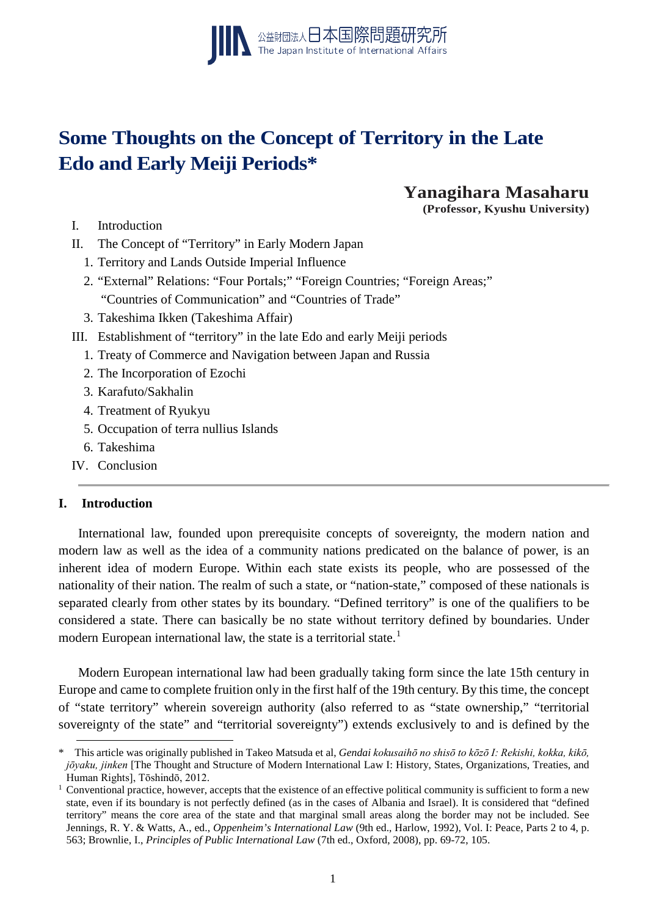

# **Some Thoughts on the Concept of Territory in the Late Edo and Early Meiji Periods\***

**Yanagihara Masaharu**

**(Professor, Kyushu University)**

- I. Introduction
- II. The Concept of "Territory" in Early Modern Japan
	- 1. Territory and Lands Outside Imperial Influence
	- 2. "External" Relations: "Four Portals;" "Foreign Countries; "Foreign Areas;" "Countries of Communication" and "Countries of Trade"
	- 3. Takeshima Ikken (Takeshima Affair)
- III. Establishment of "territory" in the late Edo and early Meiji periods
	- 1. Treaty of Commerce and Navigation between Japan and Russia
	- 2. The Incorporation of Ezochi
	- 3. Karafuto/Sakhalin
	- 4. Treatment of Ryukyu
	- 5. Occupation of terra nullius Islands
	- 6. Takeshima
- IV. Conclusion

### **I. Introduction**

-

International law, founded upon prerequisite concepts of sovereignty, the modern nation and modern law as well as the idea of a community nations predicated on the balance of power, is an inherent idea of modern Europe. Within each state exists its people, who are possessed of the nationality of their nation. The realm of such a state, or "nation-state," composed of these nationals is separated clearly from other states by its boundary. "Defined territory" is one of the qualifiers to be considered a state. There can basically be no state without territory defined by boundaries. Under modern European international law, the state is a territorial state.<sup>[1](#page-0-0)</sup>

Modern European international law had been gradually taking form since the late 15th century in Europe and came to complete fruition only in the first half of the 19th century. By this time, the concept of "state territory" wherein sovereign authority (also referred to as "state ownership," "territorial sovereignty of the state" and "territorial sovereignty") extends exclusively to and is defined by the

<span id="page-0-0"></span><sup>\*</sup> This article was originally published in Takeo Matsuda et al, *Gendai kokusaihō no shisō to kōzō I: Rekishi, kokka, kikō, jōyaku, jinken* [The Thought and Structure of Modern International Law I: History, States, Organizations, Treaties, and Human Rights], Tōshindō, 2012.

 $1$  Conventional practice, however, accepts that the existence of an effective political community is sufficient to form a new state, even if its boundary is not perfectly defined (as in the cases of Albania and Israel). It is considered that "defined territory" means the core area of the state and that marginal small areas along the border may not be included. See Jennings, R. Y. & Watts, A., ed., *Oppenheim's International Law* (9th ed., Harlow, 1992), Vol. I: Peace, Parts 2 to 4, p. 563; Brownlie, I., *Principles of Public International Law* (7th ed., Oxford, 2008), pp. 69-72, 105.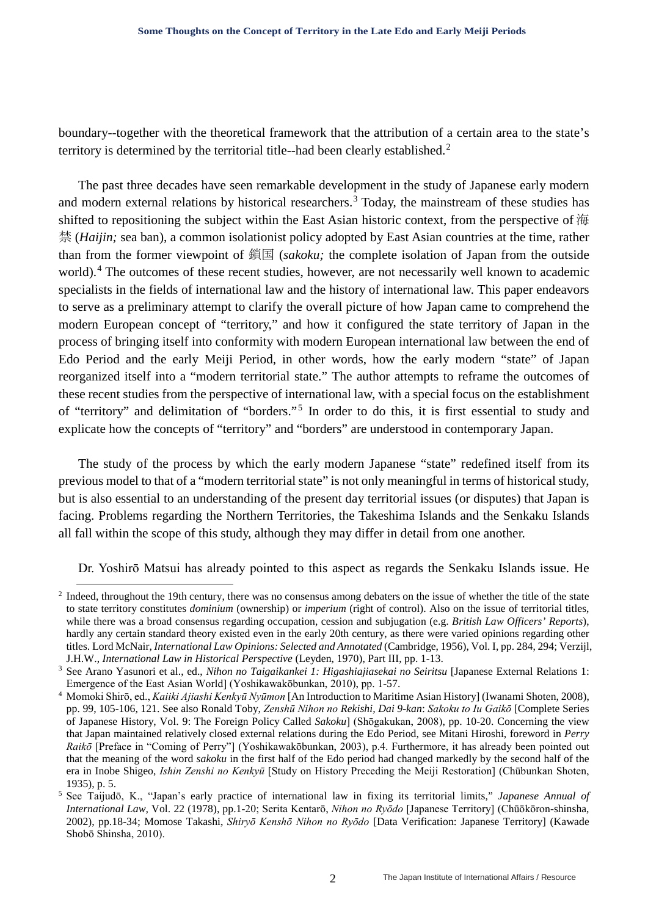boundary--together with the theoretical framework that the attribution of a certain area to the state's territory is determined by the territorial title--had been clearly established.<sup>[2](#page-1-0)</sup>

The past three decades have seen remarkable development in the study of Japanese early modern and modern external relations by historical researchers.<sup>[3](#page-1-1)</sup> Today, the mainstream of these studies has shifted to repositioning the subject within the East Asian historic context, from the perspective of 海 禁 (*Haijin;* sea ban), a common isolationist policy adopted by East Asian countries at the time, rather than from the former viewpoint of 鎖国 (*sakoku;* the complete isolation of Japan from the outside world).<sup>[4](#page-1-2)</sup> The outcomes of these recent studies, however, are not necessarily well known to academic specialists in the fields of international law and the history of international law. This paper endeavors to serve as a preliminary attempt to clarify the overall picture of how Japan came to comprehend the modern European concept of "territory," and how it configured the state territory of Japan in the process of bringing itself into conformity with modern European international law between the end of Edo Period and the early Meiji Period, in other words, how the early modern "state" of Japan reorganized itself into a "modern territorial state." The author attempts to reframe the outcomes of these recent studies from the perspective of international law, with a special focus on the establishment of "territory" and delimitation of "borders."[5](#page-1-3) In order to do this, it is first essential to study and explicate how the concepts of "territory" and "borders" are understood in contemporary Japan.

The study of the process by which the early modern Japanese "state" redefined itself from its previous model to that of a "modern territorial state" is not only meaningful in terms of historical study, but is also essential to an understanding of the present day territorial issues (or disputes) that Japan is facing. Problems regarding the Northern Territories, the Takeshima Islands and the Senkaku Islands all fall within the scope of this study, although they may differ in detail from one another.

Dr. Yoshirō Matsui has already pointed to this aspect as regards the Senkaku Islands issue. He

<span id="page-1-0"></span><sup>&</sup>lt;sup>2</sup> Indeed, throughout the 19th century, there was no consensus among debaters on the issue of whether the title of the state to state territory constitutes *dominium* (ownership) or *imperium* (right of control). Also on the issue of territorial titles, while there was a broad consensus regarding occupation, cession and subjugation (e.g. *British Law Officers' Reports*), hardly any certain standard theory existed even in the early 20th century, as there were varied opinions regarding other titles. Lord McNair, *International Law Opinions: Selected and Annotated* (Cambridge, 1956), Vol. I, pp. 284, 294; Verzijl, J.H.W., *International Law in Historical Perspective* (Leyden, 1970), Part III, pp. 1-13. 3 See Arano Yasunori et al., ed., *Nihon no Taigaikankei 1: Higashiajiasekai no Seiritsu* [Japanese External Relations 1:

<span id="page-1-1"></span>Emergence of the East Asian World] (Yoshikawakōbunkan, 2010), pp. 1-57.

<span id="page-1-2"></span><sup>4</sup> Momoki Shirō, ed., *Kaiiki Ajiashi Kenkyū Nyūmon* [An Introduction to Maritime Asian History] (Iwanami Shoten, 2008), pp. 99, 105-106, 121. See also Ronald Toby, *Zenshū Nihon no Rekishi, Dai 9-kan*: *Sakoku to Iu Gaikō* [Complete Series of Japanese History, Vol. 9: The Foreign Policy Called *Sakoku*] (Shōgakukan, 2008), pp. 10-20. Concerning the view that Japan maintained relatively closed external relations during the Edo Period, see Mitani Hiroshi, foreword in *Perry Raikō* [Preface in "Coming of Perry"] (Yoshikawakōbunkan, 2003), p.4. Furthermore, it has already been pointed out that the meaning of the word *sakoku* in the first half of the Edo period had changed markedly by the second half of the era in Inobe Shigeo, *Ishin Zenshi no Kenkyū* [Study on History Preceding the Meiji Restoration] (Chūbunkan Shoten, 1935), p. 5.

<span id="page-1-3"></span><sup>5</sup> See Taijudō, K., "Japan's early practice of international law in fixing its territorial limits," *Japanese Annual of International Law,* Vol. 22 (1978), pp.1-20; Serita Kentarō, *Nihon no Ryōdo* [Japanese Territory] (Chūōkōron-shinsha, 2002), pp.18-34; Momose Takashi, *Shiryō Kenshō Nihon no Ryōdo* [Data Verification: Japanese Territory] (Kawade Shobō Shinsha, 2010).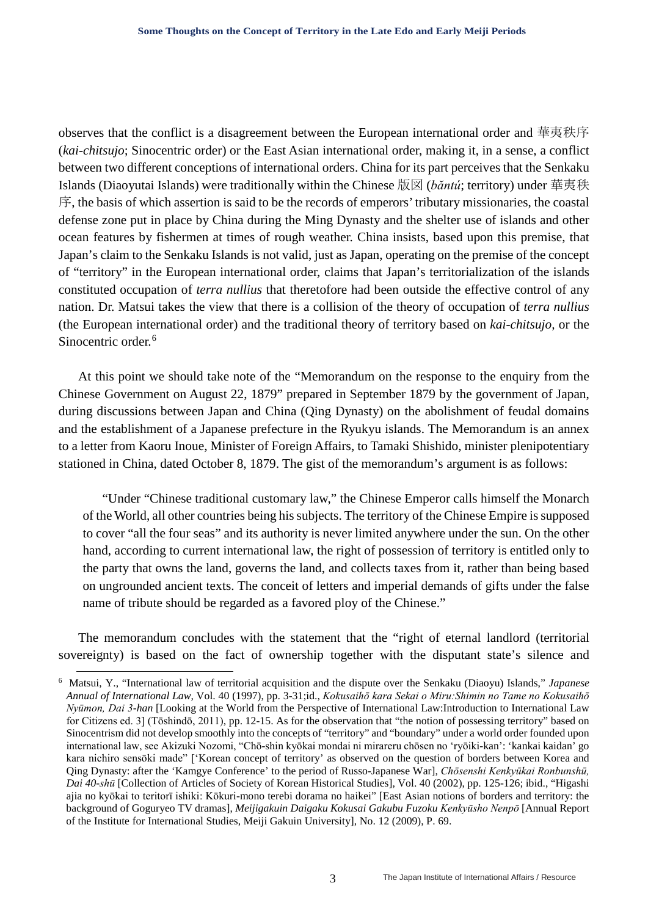observes that the conflict is a disagreement between the European international order and 華夷秩序 (*kai-chitsujo*; Sinocentric order) or the East Asian international order, making it, in a sense, a conflict between two different conceptions of international orders. China for its part perceives that the Senkaku Islands (Diaoyutai Islands) were traditionally within the Chinese 版図 (*băntú*; territory) under 華夷秩 序, the basis of which assertion is said to be the records of emperors' tributary missionaries, the coastal defense zone put in place by China during the Ming Dynasty and the shelter use of islands and other ocean features by fishermen at times of rough weather. China insists, based upon this premise, that Japan's claim to the Senkaku Islands is not valid, just as Japan, operating on the premise of the concept of "territory" in the European international order, claims that Japan's territorialization of the islands constituted occupation of *terra nullius* that theretofore had been outside the effective control of any nation. Dr. Matsui takes the view that there is a collision of the theory of occupation of *terra nullius* (the European international order) and the traditional theory of territory based on *kai-chitsujo,* or the Sinocentric order.<sup>[6](#page-2-0)</sup>

At this point we should take note of the "Memorandum on the response to the enquiry from the Chinese Government on August 22, 1879" prepared in September 1879 by the government of Japan, during discussions between Japan and China (Qing Dynasty) on the abolishment of feudal domains and the establishment of a Japanese prefecture in the Ryukyu islands. The Memorandum is an annex to a letter from Kaoru Inoue, Minister of Foreign Affairs, to Tamaki Shishido, minister plenipotentiary stationed in China, dated October 8, 1879. The gist of the memorandum's argument is as follows:

"Under "Chinese traditional customary law," the Chinese Emperor calls himself the Monarch of the World, all other countries being his subjects. The territory of the Chinese Empire is supposed to cover "all the four seas" and its authority is never limited anywhere under the sun. On the other hand, according to current international law, the right of possession of territory is entitled only to the party that owns the land, governs the land, and collects taxes from it, rather than being based on ungrounded ancient texts. The conceit of letters and imperial demands of gifts under the false name of tribute should be regarded as a favored ploy of the Chinese."

The memorandum concludes with the statement that the "right of eternal landlord (territorial sovereignty) is based on the fact of ownership together with the disputant state's silence and

<span id="page-2-0"></span> <sup>6</sup> Matsui, Y., "International law of territorial acquisition and the dispute over the Senkaku (Diaoyu) Islands," *Japanese Annual of International Law,* Vol. 40 (1997), pp. 3-31;id., *Kokusaihō kara Sekai o Miru:Shimin no Tame no Kokusaihō Nyūmon, Dai 3-han* [Looking at the World from the Perspective of International Law:Introduction to International Law for Citizens ed. 3] (Tōshindō, 2011), pp. 12-15. As for the observation that "the notion of possessing territory" based on Sinocentrism did not develop smoothly into the concepts of "territory" and "boundary" under a world order founded upon international law, see Akizuki Nozomi, "Chō-shin kyōkai mondai ni mirareru chōsen no 'ryōiki-kan': 'kankai kaidan' go kara nichiro sensōki made" ['Korean concept of territory' as observed on the question of borders between Korea and Qing Dynasty: after the 'Kamgye Conference' to the period of Russo-Japanese War], *Chōsenshi Kenkyūkai Ronbunshū, Dai 40-shū* [Collection of Articles of Society of Korean Historical Studies], Vol. 40 (2002), pp. 125-126; ibid., "Higashi ajia no kyōkai to teritorī ishiki: Kōkuri-mono terebi dorama no haikei" [East Asian notions of borders and territory: the background of Goguryeo TV dramas], *Meijigakuin Daigaku Kokusai Gakubu Fuzoku Kenkyūsho Nenpō* [Annual Report of the Institute for International Studies, Meiji Gakuin University], No. 12 (2009), P. 69.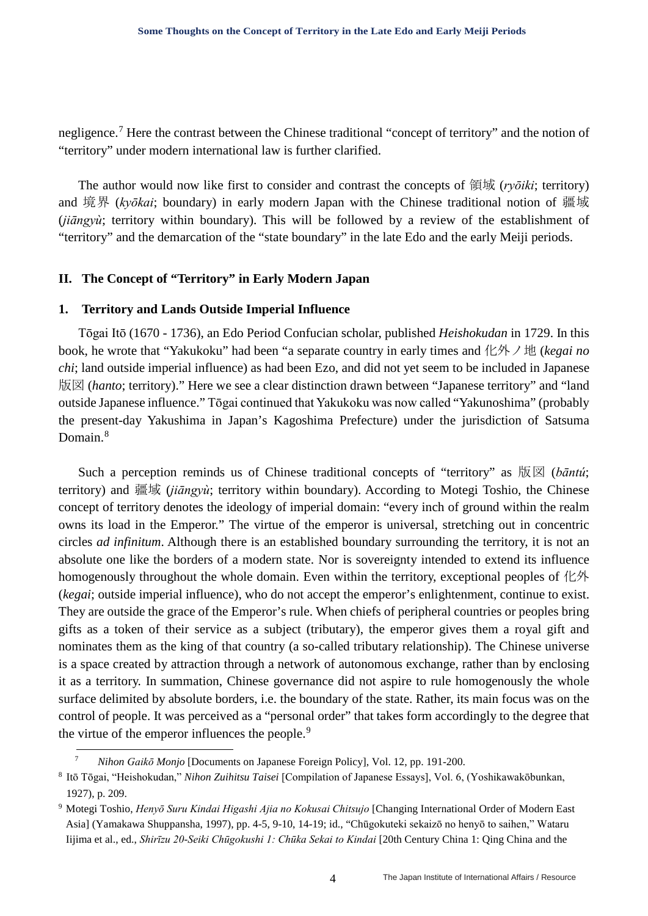negligence.[7](#page-3-0) Here the contrast between the Chinese traditional "concept of territory" and the notion of "territory" under modern international law is further clarified.

The author would now like first to consider and contrast the concepts of 領域 (*ryōiki*; territory) and 境界 (*kyōkai*; boundary) in early modern Japan with the Chinese traditional notion of 疆域 (*jiāngyù*; territory within boundary). This will be followed by a review of the establishment of "territory" and the demarcation of the "state boundary" in the late Edo and the early Meiji periods.

#### **II. The Concept of "Territory" in Early Modern Japan**

#### **1. Territory and Lands Outside Imperial Influence**

Tōgai Itō (1670 - 1736), an Edo Period Confucian scholar, published *Heishokudan* in 1729. In this book, he wrote that "Yakukoku" had been "a separate country in early times and 化外ノ地 (*kegai no chi*; land outside imperial influence) as had been Ezo, and did not yet seem to be included in Japanese 版図 (*hanto*; territory)." Here we see a clear distinction drawn between "Japanese territory" and "land outside Japanese influence." Tōgai continued that Yakukoku was now called "Yakunoshima" (probably the present-day Yakushima in Japan's Kagoshima Prefecture) under the jurisdiction of Satsuma Domain<sup>[8](#page-3-1)</sup>

Such a perception reminds us of Chinese traditional concepts of "territory" as 版図 (bāntú; territory) and 疆域 (*jiāngyù*; territory within boundary). According to Motegi Toshio, the Chinese concept of territory denotes the ideology of imperial domain: "every inch of ground within the realm owns its load in the Emperor." The virtue of the emperor is universal, stretching out in concentric circles *ad infinitum*. Although there is an established boundary surrounding the territory, it is not an absolute one like the borders of a modern state. Nor is sovereignty intended to extend its influence homogenously throughout the whole domain. Even within the territory, exceptional peoples of 化外 (*kegai*; outside imperial influence), who do not accept the emperor's enlightenment, continue to exist. They are outside the grace of the Emperor's rule. When chiefs of peripheral countries or peoples bring gifts as a token of their service as a subject (tributary), the emperor gives them a royal gift and nominates them as the king of that country (a so-called tributary relationship). The Chinese universe is a space created by attraction through a network of autonomous exchange, rather than by enclosing it as a territory. In summation, Chinese governance did not aspire to rule homogenously the whole surface delimited by absolute borders, i.e. the boundary of the state. Rather, its main focus was on the control of people. It was perceived as a "personal order" that takes form accordingly to the degree that the virtue of the emperor influences the people.<sup>[9](#page-3-2)</sup>

 <sup>7</sup> *Nihon Gaikō Monjo* [Documents on Japanese Foreign Policy], Vol. 12, pp. 191-200.

<span id="page-3-1"></span><span id="page-3-0"></span><sup>8</sup> Itō Tōgai, "Heishokudan," *Nihon Zuihitsu Taisei* [Compilation of Japanese Essays], Vol. 6, (Yoshikawakōbunkan, 1927), p. 209.

<span id="page-3-2"></span><sup>9</sup> Motegi Toshio, *Henyō Suru Kindai Higashi Ajia no Kokusai Chitsujo* [Changing International Order of Modern East Asia] (Yamakawa Shuppansha, 1997), pp. 4-5, 9-10, 14-19; id., "Chūgokuteki sekaizō no henyō to saihen," Wataru Iijima et al., ed., *Shirīzu 20-Seiki Chūgokushi 1: Chūka Sekai to Kindai* [20th Century China 1: Qing China and the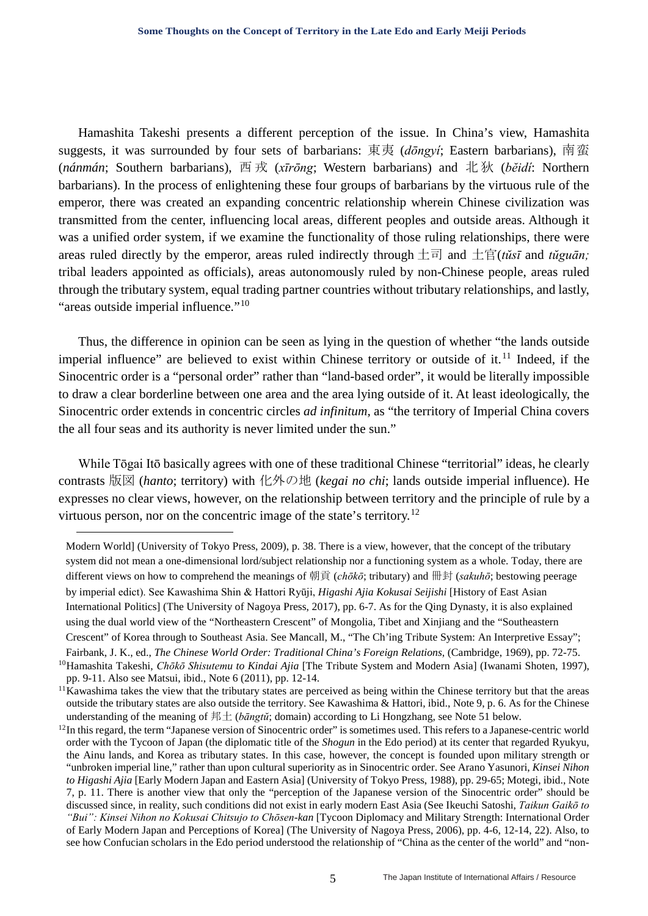Hamashita Takeshi presents a different perception of the issue. In China's view, Hamashita suggests, it was surrounded by four sets of barbarians: 東夷 (*dōngyí*; Eastern barbarians), 南蛮 (*nánmán*; Southern barbarians), 西 戎 (*xīrōng*; Western barbarians) and 北 狄 (*bĕidí*: Northern barbarians). In the process of enlightening these four groups of barbarians by the virtuous rule of the emperor, there was created an expanding concentric relationship wherein Chinese civilization was transmitted from the center, influencing local areas, different peoples and outside areas. Although it was a unified order system, if we examine the functionality of those ruling relationships, there were areas ruled directly by the emperor, areas ruled indirectly through  $\pm \overline{\epsilon}$  and  $\pm \overline{\epsilon}$  (*tusi* and *tuguan*; tribal leaders appointed as officials), areas autonomously ruled by non-Chinese people, areas ruled through the tributary system, equal trading partner countries without tributary relationships, and lastly, "areas outside imperial influence."<sup>[10](#page-4-0)</sup>

Thus, the difference in opinion can be seen as lying in the question of whether "the lands outside imperial influence" are believed to exist within Chinese territory or outside of it.<sup>[11](#page-4-1)</sup> Indeed, if the Sinocentric order is a "personal order" rather than "land-based order", it would be literally impossible to draw a clear borderline between one area and the area lying outside of it. At least ideologically, the Sinocentric order extends in concentric circles *ad infinitum,* as "the territory of Imperial China covers the all four seas and its authority is never limited under the sun."

While Tōgai Itō basically agrees with one of these traditional Chinese "territorial" ideas, he clearly contrasts 版図 (*hanto*; territory) with 化外の地 (*kegai no chi*; lands outside imperial influence). He expresses no clear views, however, on the relationship between territory and the principle of rule by a virtuous person, nor on the concentric image of the state's territory.<sup>[12](#page-4-2)</sup>

1

Modern World] (University of Tokyo Press, 2009), p. 38. There is a view, however, that the concept of the tributary system did not mean a one-dimensional lord/subject relationship nor a functioning system as a whole. Today, there are different views on how to comprehend the meanings of 朝貢 (*chōkō*; tributary) and 冊封 (*sakuhō*; bestowing peerage by imperial edict). See Kawashima Shin & Hattori Ryūji, *Higashi Ajia Kokusai Seijishi* [History of East Asian International Politics] (The University of Nagoya Press, 2017), pp. 6-7. As for the Qing Dynasty, it is also explained using the dual world view of the "Northeastern Crescent" of Mongolia, Tibet and Xinjiang and the "Southeastern Crescent" of Korea through to Southeast Asia. See Mancall, M., "The Ch'ing Tribute System: An Interpretive Essay"; Fairbank, J. K., ed., *The Chinese World Order: Traditional China's Foreign Relations*, (Cambridge, 1969), pp. 72-75.

<span id="page-4-0"></span><sup>10</sup>Hamashita Takeshi, *Chōkō Shisutemu to Kindai Ajia* [The Tribute System and Modern Asia] (Iwanami Shoten, 1997), pp. 9-11. Also see Matsui, ibid., Note 6 (2011), pp. 12-14.

<span id="page-4-1"></span> $<sup>11</sup>$ Kawashima takes the view that the tributary states are perceived as being within the Chinese territory but that the areas</sup> outside the tributary states are also outside the territory. See Kawashima & Hattori, ibid., Note 9, p. 6. As for the Chinese understanding of the meaning of  $\# \pm$  (*bāngtǔ*; domain) according to Li Hongzhang, see Note 51 below.<br><sup>12</sup>In this regard, the term "Japanese version of Sinocentric order" is sometimes used. This refers to a Japanese-cen

<span id="page-4-2"></span>order with the Tycoon of Japan (the diplomatic title of the *Shogun* in the Edo period) at its center that regarded Ryukyu, the Ainu lands, and Korea as tributary states. In this case, however, the concept is founded upon military strength or "unbroken imperial line," rather than upon cultural superiority as in Sinocentric order. See Arano Yasunori, *Kinsei Nihon to Higashi Ajia* [Early Modern Japan and Eastern Asia] (University of Tokyo Press, 1988), pp. 29-65; Motegi, ibid., Note 7, p. 11. There is another view that only the "perception of the Japanese version of the Sinocentric order" should be discussed since, in reality, such conditions did not exist in early modern East Asia (See Ikeuchi Satoshi, *Taikun Gaikō to "Bui": Kinsei Nihon no Kokusai Chitsujo to Chōsen-kan* [Tycoon Diplomacy and Military Strength: International Order of Early Modern Japan and Perceptions of Korea] (The University of Nagoya Press, 2006), pp. 4-6, 12-14, 22). Also, to see how Confucian scholars in the Edo period understood the relationship of "China as the center of the world" and "non-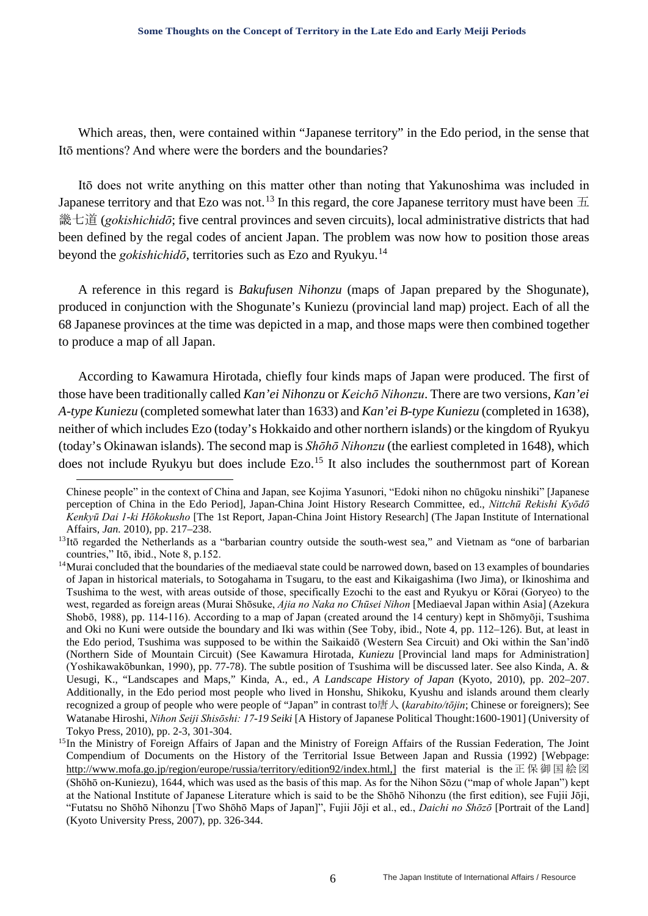Which areas, then, were contained within "Japanese territory" in the Edo period, in the sense that Itō mentions? And where were the borders and the boundaries?

Itō does not write anything on this matter other than noting that Yakunoshima was included in Japanese territory and that Ezo was not.<sup>[13](#page-5-0)</sup> In this regard, the core Japanese territory must have been  $\pm$ 畿七道 (*gokishichidō*; five central provinces and seven circuits), local administrative districts that had been defined by the regal codes of ancient Japan. The problem was now how to position those areas beyond the *gokishichidō*, territories such as Ezo and Ryukyu.[14](#page-5-1)

A reference in this regard is *Bakufusen Nihonzu* (maps of Japan prepared by the Shogunate), produced in conjunction with the Shogunate's Kuniezu (provincial land map) project. Each of all the 68 Japanese provinces at the time was depicted in a map, and those maps were then combined together to produce a map of all Japan.

According to Kawamura Hirotada, chiefly four kinds maps of Japan were produced. The first of those have been traditionally called *Kan'ei Nihonzu* or *Keichō Nihonzu*. There are two versions, *Kan'ei A-type Kuniezu* (completed somewhat later than 1633) and *Kan'ei B-type Kuniezu* (completed in 1638), neither of which includes Ezo (today's Hokkaido and other northern islands) or the kingdom of Ryukyu (today's Okinawan islands). The second map is *Shōhō Nihonzu* (the earliest completed in 1648), which does not include Ryukyu but does include Ezo.<sup>[15](#page-5-2)</sup> It also includes the southernmost part of Korean

1

Chinese people" in the context of China and Japan, see Kojima Yasunori, "Edoki nihon no chūgoku ninshiki" [Japanese perception of China in the Edo Period], Japan-China Joint History Research Committee, ed., *Nittchū Rekishi Kyōdō Kenkyū Dai 1-ki Hōkokusho* [The 1st Report, Japan-China Joint History Research] (The Japan Institute of International Affairs, *Jan.* 2010), pp. 217–238.

<span id="page-5-0"></span><sup>&</sup>lt;sup>13</sup>Itō regarded the Netherlands as a "barbarian country outside the south-west sea," and Vietnam as "one of barbarian countries," Itō, ibid., Note 8, p.152.

<span id="page-5-1"></span><sup>&</sup>lt;sup>14</sup>Murai concluded that the boundaries of the mediaeval state could be narrowed down, based on 13 examples of boundaries of Japan in historical materials, to Sotogahama in Tsugaru, to the east and Kikaigashima (Iwo Jima), or Ikinoshima and Tsushima to the west, with areas outside of those, specifically Ezochi to the east and Ryukyu or Kōrai (Goryeo) to the west, regarded as foreign areas (Murai Shōsuke, *Ajia no Naka no Chūsei Nihon* [Mediaeval Japan within Asia] (Azekura Shobō, 1988), pp. 114-116). According to a map of Japan (created around the 14 century) kept in Shōmyōji, Tsushima and Oki no Kuni were outside the boundary and Iki was within (See Toby, ibid., Note 4, pp. 112–126). But, at least in the Edo period, Tsushima was supposed to be within the Saikaidō (Western Sea Circuit) and Oki within the San'indō (Northern Side of Mountain Circuit) (See Kawamura Hirotada, *Kuniezu* [Provincial land maps for Administration] (Yoshikawakōbunkan, 1990), pp. 77-78). The subtle position of Tsushima will be discussed later. See also Kinda, A. & Uesugi, K., "Landscapes and Maps," Kinda, A., ed., *A Landscape History of Japan* (Kyoto, 2010), pp. 202–207. Additionally, in the Edo period most people who lived in Honshu, Shikoku, Kyushu and islands around them clearly recognized a group of people who were people of "Japan" in contrast to唐人 (*karabito/tōjin*; Chinese or foreigners); See Watanabe Hiroshi, *Nihon Seiji Shisōshi: 17-19 Seiki* [A History of Japanese Political Thought:1600-1901] (University of Tokyo Press, 2010), pp. 2-3, 301-304.<br><sup>15</sup>In the Ministry of Foreign Affairs of Japan and the Ministry of Foreign Affairs of the Russian Federation, The Joint

<span id="page-5-2"></span>Compendium of Documents on the History of the Territorial Issue Between Japan and Russia (1992) [Webpage: [http://www.mofa.go.jp/region/europe/russia/territory/edition92/index.html,](http://www.mofa.go.jp/region/europe/russia/territory/edition92/index.html)] the first material is the 正保御国絵図 (Shōhō on-Kuniezu), 1644, which was used as the basis of this map. As for the Nihon Sōzu ("map of whole Japan") kept at the National Institute of Japanese Literature which is said to be the Shōhō Nihonzu (the first edition), see Fujii Jōji, "Futatsu no Shōhō Nihonzu [Two Shōhō Maps of Japan]", Fujii Jōji et al., ed., *Daichi no Shōzō* [Portrait of the Land] (Kyoto University Press, 2007), pp. 326-344.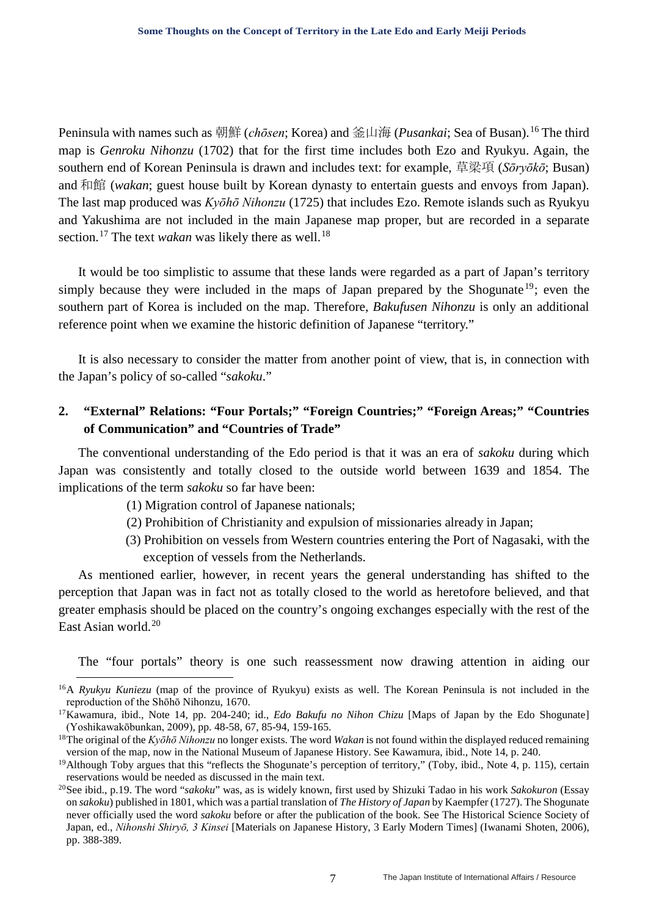Peninsula with names such as 朝鮮 (*chōsen*; Korea) and 釜山海 (*Pusankai*; Sea of Busan).[16](#page-6-0) The third map is *Genroku Nihonzu* (1702) that for the first time includes both Ezo and Ryukyu. Again, the southern end of Korean Peninsula is drawn and includes text: for example, 草梁項 (*Sōryōkō*; Busan) and 和館 (*wakan*; guest house built by Korean dynasty to entertain guests and envoys from Japan). The last map produced was *Kyōhō Nihonzu* (1725) that includes Ezo. Remote islands such as Ryukyu and Yakushima are not included in the main Japanese map proper, but are recorded in a separate section.<sup>[17](#page-6-1)</sup> The text *wakan* was likely there as well.<sup>[18](#page-6-2)</sup>

It would be too simplistic to assume that these lands were regarded as a part of Japan's territory simply because they were included in the maps of Japan prepared by the Shogunate<sup>[19](#page-6-3)</sup>; even the southern part of Korea is included on the map. Therefore, *Bakufusen Nihonzu* is only an additional reference point when we examine the historic definition of Japanese "territory."

It is also necessary to consider the matter from another point of view, that is, in connection with the Japan's policy of so-called "*sakoku*."

## **2. "External" Relations: "Four Portals;" "Foreign Countries;" "Foreign Areas;" "Countries of Communication" and "Countries of Trade"**

The conventional understanding of the Edo period is that it was an era of *sakoku* during which Japan was consistently and totally closed to the outside world between 1639 and 1854. The implications of the term *sakoku* so far have been:

- (1) Migration control of Japanese nationals;
- (2) Prohibition of Christianity and expulsion of missionaries already in Japan;
- (3) Prohibition on vessels from Western countries entering the Port of Nagasaki, with the exception of vessels from the Netherlands.

As mentioned earlier, however, in recent years the general understanding has shifted to the perception that Japan was in fact not as totally closed to the world as heretofore believed, and that greater emphasis should be placed on the country's ongoing exchanges especially with the rest of the East Asian world.[20](#page-6-4)

The "four portals" theory is one such reassessment now drawing attention in aiding our

<span id="page-6-0"></span><sup>&</sup>lt;sup>16</sup>A *Ryukyu Kuniezu* (map of the province of Ryukyu) exists as well. The Korean Peninsula is not included in the reproduction of the Shōhō Nihonzu, 1670.

<span id="page-6-1"></span><sup>&</sup>lt;sup>17</sup>Kawamura, ibid., Note 14, pp. 204-240; id., *Edo Bakufu no Nihon Chizu* [Maps of Japan by the Edo Shogunate] (Yoshikawakōbunkan, 2009), pp. 48-58, 67, 85-94, 159-165.

<span id="page-6-2"></span><sup>18</sup>The original of the *Kyōhō Nihonzu* no longer exists. The word *Wakan* is not found within the displayed reduced remaining version of the map, now in the National Museum of Japanese History. See Kawamura, ibid., Note 14, p. 240.

<span id="page-6-3"></span><sup>&</sup>lt;sup>19</sup>Although Toby argues that this "reflects the Shogunate's perception of territory," (Toby, ibid., Note 4, p. 115), certain reservations would be needed as discussed in the main text.

<span id="page-6-4"></span><sup>20</sup>See ibid., p.19. The word "*sakoku*" was, as is widely known, first used by Shizuki Tadao in his work *Sakokuron* (Essay on *sakoku*) published in 1801, which was a partial translation of *The History of Japan* by Kaempfer (1727). The Shogunate never officially used the word *sakoku* before or after the publication of the book. See The Historical Science Society of Japan, ed., *Nihonshi Shiryō, 3 Kinsei* [Materials on Japanese History, 3 Early Modern Times] (Iwanami Shoten, 2006), pp. 388-389.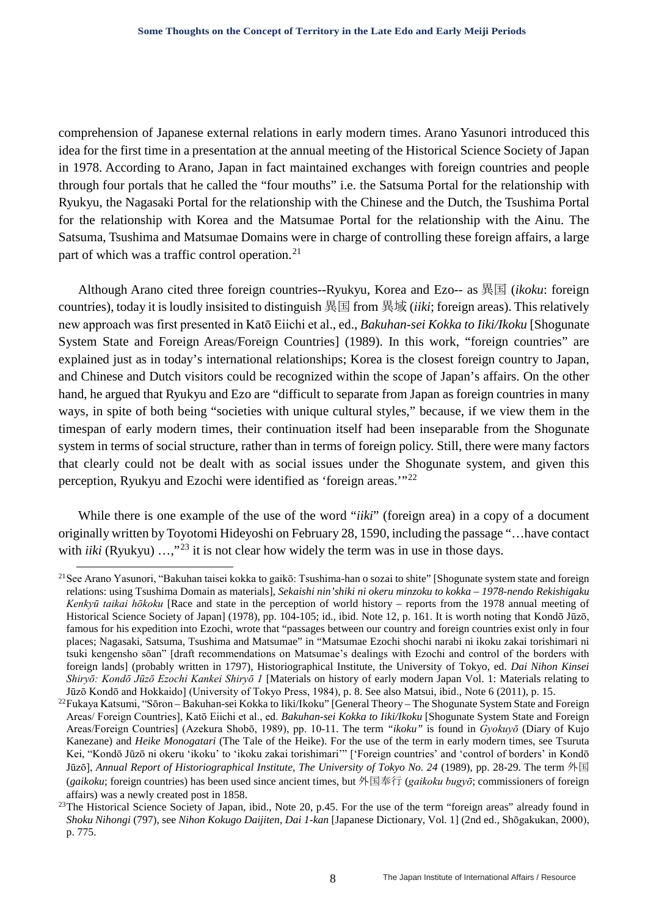comprehension of Japanese external relations in early modern times. Arano Yasunori introduced this idea for the first time in a presentation at the annual meeting of the Historical Science Society of Japan in 1978. According to Arano, Japan in fact maintained exchanges with foreign countries and people through four portals that he called the "four mouths" i.e. the Satsuma Portal for the relationship with Ryukyu, the Nagasaki Portal for the relationship with the Chinese and the Dutch, the Tsushima Portal for the relationship with Korea and the Matsumae Portal for the relationship with the Ainu. The Satsuma, Tsushima and Matsumae Domains were in charge of controlling these foreign affairs, a large part of which was a traffic control operation.<sup>[21](#page-7-0)</sup>

Although Arano cited three foreign countries--Ryukyu, Korea and Ezo-- as 異国 (*ikoku*: foreign countries), today it is loudly insisited to distinguish 異国 from 異域 (*iiki*; foreign areas). This relatively new approach was first presented in Katō Eiichi et al., ed., *Bakuhan-sei Kokka to Iiki/Ikoku* [Shogunate System State and Foreign Areas/Foreign Countries] (1989). In this work, "foreign countries" are explained just as in today's international relationships; Korea is the closest foreign country to Japan, and Chinese and Dutch visitors could be recognized within the scope of Japan's affairs. On the other hand, he argued that Ryukyu and Ezo are "difficult to separate from Japan as foreign countries in many ways, in spite of both being "societies with unique cultural styles," because, if we view them in the timespan of early modern times, their continuation itself had been inseparable from the Shogunate system in terms of social structure, rather than in terms of foreign policy. Still, there were many factors that clearly could not be dealt with as social issues under the Shogunate system, and given this perception, Ryukyu and Ezochi were identified as 'foreign areas.'"[22](#page-7-1)

While there is one example of the use of the word "*iiki*" (foreign area) in a copy of a document originally written by Toyotomi Hideyoshi on February 28, 1590, including the passage "…have contact with *iiki* (Ryukyu) ...,"<sup>[23](#page-7-2)</sup> it is not clear how widely the term was in use in those days.

<span id="page-7-0"></span><sup>&</sup>lt;sup>21</sup>See Arano Yasunori, "Bakuhan taisei kokka to gaikō: Tsushima-han o sozai to shite" [Shogunate system state and foreign relations: using Tsushima Domain as materials], *Sekaishi nin'shiki ni okeru minzoku to kokka – 1978-nendo Rekishigaku Kenkyū taikai hōkoku* [Race and state in the perception of world history – reports from the 1978 annual meeting of Historical Science Society of Japan] (1978), pp. 104-105; id., ibid. Note 12, p. 161. It is worth noting that Kondō Jūzō, famous for his expedition into Ezochi, wrote that "passages between our country and foreign countries exist only in four places; Nagasaki, Satsuma, Tsushima and Matsumae" in "Matsumae Ezochi shochi narabi ni ikoku zakai torishimari ni tsuki kengensho sōan" [draft recommendations on Matsumae's dealings with Ezochi and control of the borders with foreign lands] (probably written in 1797), Historiographical Institute, the University of Tokyo, ed. *Dai Nihon Kinsei Shiryō: Kondō Jūzō Ezochi Kankei Shiryō 1* [Materials on history of early modern Japan Vol. 1: Materials relating to Jūzō Kondō and Hokkaido] (University of Tokyo Press, 1984), p. 8. See also Matsui, ibid., Note 6 (2011), p. 15.

<span id="page-7-1"></span><sup>22</sup>Fukaya Katsumi, "Sōron – Bakuhan-sei Kokka to Iiki/Ikoku" [General Theory – The Shogunate System State and Foreign Areas/ Foreign Countries], Katō Eiichi et al., ed. *Bakuhan-sei Kokka to Iiki/Ikoku* [Shogunate System State and Foreign Areas/Foreign Countries] (Azekura Shobō, 1989), pp. 10-11. The term *"ikoku"* is found in *Gyokuyō* (Diary of Kujo Kanezane) and *Heike Monogatari* (The Tale of the Heike). For the use of the term in early modern times, see Tsuruta Kei, "Kondō Jūzō ni okeru 'ikoku' to 'ikoku zakai torishimari'" ['Foreign countries' and 'control of borders' in Kondō Jūzō], *Annual Report of Historiographical Institute, The University of Tokyo No. 24* (1989), pp. 28-29. The term 外国 (*gaikoku*; foreign countries) has been used since ancient times, but 外国奉行 (*gaikoku bugyō*; commissioners of foreign affairs) was a newly created post in 1858.

<span id="page-7-2"></span><sup>&</sup>lt;sup>23</sup>The Historical Science Society of Japan, ibid., Note 20, p.45. For the use of the term "foreign areas" already found in *Shoku Nihongi* (797), see *Nihon Kokugo Daijiten, Dai 1-kan* [Japanese Dictionary, Vol. 1] (2nd ed., Shōgakukan, 2000), p. 775.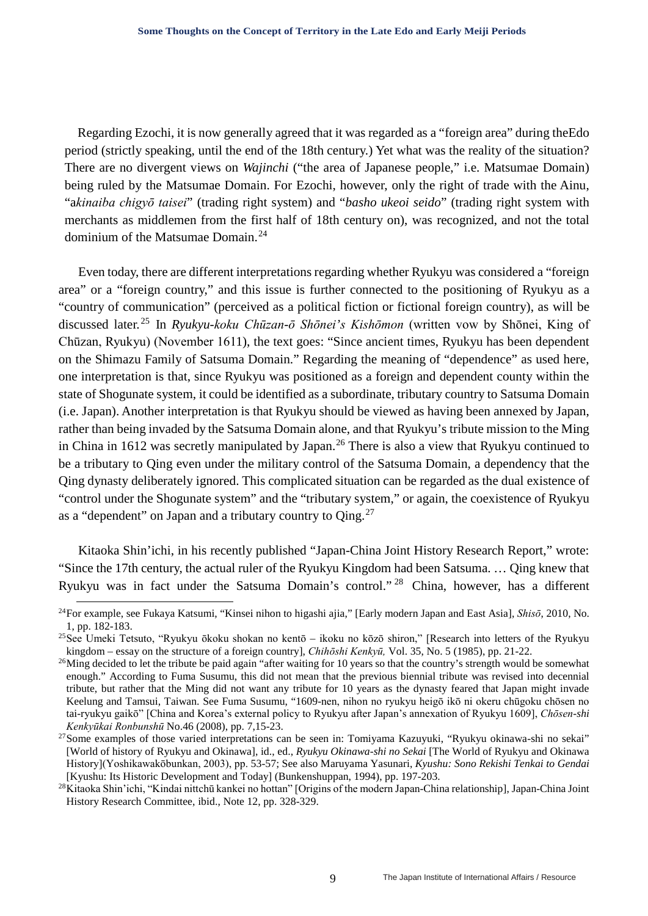Regarding Ezochi, it is now generally agreed that it was regarded as a "foreign area" during theEdo period (strictly speaking, until the end of the 18th century.) Yet what was the reality of the situation? There are no divergent views on *Wajinchi* ("the area of Japanese people," i.e. Matsumae Domain) being ruled by the Matsumae Domain. For Ezochi, however, only the right of trade with the Ainu, "a*kinaiba chigyō taisei*" (trading right system) and "*basho ukeoi seido*" (trading right system with merchants as middlemen from the first half of 18th century on), was recognized, and not the total dominium of the Matsumae Domain.[24](#page-8-0)

Even today, there are different interpretations regarding whether Ryukyu was considered a "foreign area" or a "foreign country," and this issue is further connected to the positioning of Ryukyu as a "country of communication" (perceived as a political fiction or fictional foreign country), as will be discussed later. [25](#page-8-1) In *Ryukyu-koku Chūzan-ō Shōnei's Kishōmon* (written vow by Shōnei, King of Chūzan, Ryukyu) (November 1611), the text goes: "Since ancient times, Ryukyu has been dependent on the Shimazu Family of Satsuma Domain." Regarding the meaning of "dependence" as used here, one interpretation is that, since Ryukyu was positioned as a foreign and dependent county within the state of Shogunate system, it could be identified as a subordinate, tributary country to Satsuma Domain (i.e. Japan). Another interpretation is that Ryukyu should be viewed as having been annexed by Japan, rather than being invaded by the Satsuma Domain alone, and that Ryukyu's tribute mission to the Ming in China in 1612 was secretly manipulated by Japan.<sup>[26](#page-8-2)</sup> There is also a view that Ryukyu continued to be a tributary to Qing even under the military control of the Satsuma Domain, a dependency that the Qing dynasty deliberately ignored. This complicated situation can be regarded as the dual existence of "control under the Shogunate system" and the "tributary system," or again, the coexistence of Ryukyu as a "dependent" on Japan and a tributary country to  $\text{Qing.}^{27}$  $\text{Qing.}^{27}$  $\text{Qing.}^{27}$ 

Kitaoka Shin'ichi, in his recently published "Japan-China Joint History Research Report," wrote: "Since the 17th century, the actual ruler of the Ryukyu Kingdom had been Satsuma. … Qing knew that Ryukyu was in fact under the Satsuma Domain's control." [28](#page-8-4) China, however, has a different

<span id="page-8-0"></span> <sup>24</sup>For example, see Fukaya Katsumi, "Kinsei nihon to higashi ajia," [Early modern Japan and East Asia], *Shisō*, 2010, No. 1, pp. 182-183.

<span id="page-8-1"></span><sup>&</sup>lt;sup>25</sup>See Umeki Tetsuto, "Ryukyu ōkoku shokan no kentō – ikoku no kōzō shiron," [Research into letters of the Ryukyu kingdom – essay on the structure of a foreign country], *Chihōshi Kenkyū,* Vol. 35, No. 5 (1985), pp. 21-22.

<span id="page-8-2"></span><sup>&</sup>lt;sup>26</sup>Ming decided to let the tribute be paid again "after waiting for 10 years so that the country's strength would be somewhat enough." According to Fuma Susumu, this did not mean that the previous biennial tribute was revised into decennial tribute, but rather that the Ming did not want any tribute for 10 years as the dynasty feared that Japan might invade Keelung and Tamsui, Taiwan. See Fuma Susumu, "1609-nen, nihon no ryukyu heigō ikō ni okeru chūgoku chōsen no tai-ryukyu gaikō" [China and Korea's external policy to Ryukyu after Japan's annexation of Ryukyu 1609], *Chōsen-shi* 

<span id="page-8-3"></span>*Kenkyūkai Ronbunshū* No.46 (2008), pp. 7,15-23.<br><sup>27</sup>Some examples of those varied interpretations can be seen in: Tomiyama Kazuyuki, "Ryukyu okinawa-shi no sekai" [World of history of Ryukyu and Okinawa], id., ed., *Ryukyu Okinawa-shi no Sekai* [The World of Ryukyu and Okinawa History](Yoshikawakōbunkan, 2003), pp. 53-57; See also Maruyama Yasunari, *Kyushu: Sono Rekishi Tenkai to Gendai*  [Kyushu: Its Historic Development and Today] (Bunkenshuppan, 1994), pp. 197-203. 28Kitaoka Shin'ichi, "Kindai nittchū kankei no hottan" [Origins of the modern Japan-China relationship], Japan-China Joint

<span id="page-8-4"></span>History Research Committee, ibid., Note 12, pp. 328-329.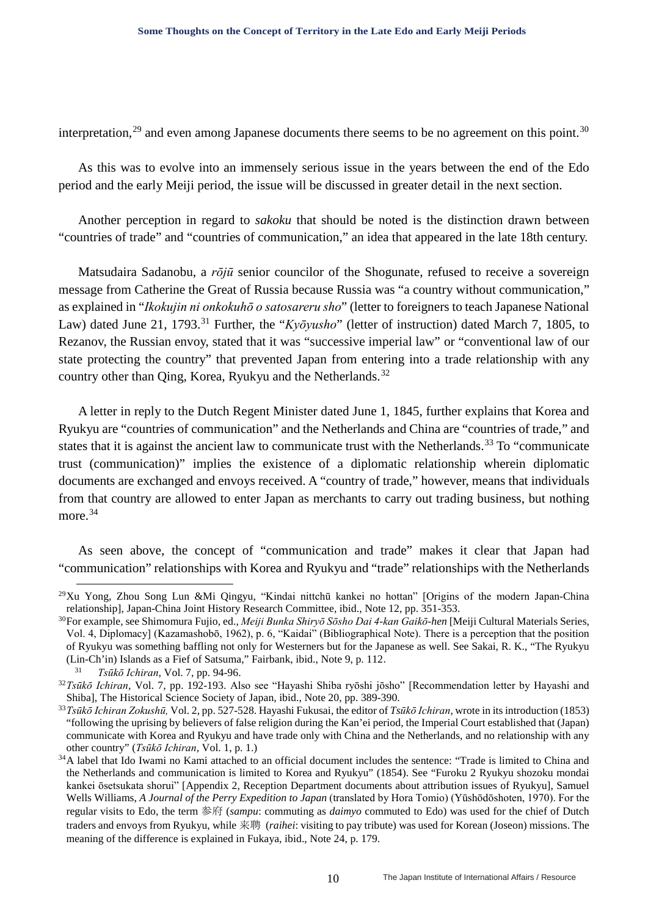interpretation,<sup>[29](#page-9-0)</sup> and even among Japanese documents there seems to be no agreement on this point.<sup>[30](#page-9-1)</sup>

As this was to evolve into an immensely serious issue in the years between the end of the Edo period and the early Meiji period, the issue will be discussed in greater detail in the next section.

Another perception in regard to *sakoku* that should be noted is the distinction drawn between "countries of trade" and "countries of communication," an idea that appeared in the late 18th century.

Matsudaira Sadanobu, a *rōjū* senior councilor of the Shogunate, refused to receive a sovereign message from Catherine the Great of Russia because Russia was "a country without communication," as explained in "*Ikokujin ni onkokuhō o satosareru sho*" (letter to foreigners to teach Japanese National Law) dated June 21, 1793.<sup>[31](#page-9-2)</sup> Further, the "*Kyōyusho*" (letter of instruction) dated March 7, 1805, to Rezanov, the Russian envoy, stated that it was "successive imperial law" or "conventional law of our state protecting the country" that prevented Japan from entering into a trade relationship with any country other than Qing, Korea, Ryukyu and the Netherlands.<sup>[32](#page-9-3)</sup>

A letter in reply to the Dutch Regent Minister dated June 1, 1845, further explains that Korea and Ryukyu are "countries of communication" and the Netherlands and China are "countries of trade," and states that it is against the ancient law to communicate trust with the Netherlands.<sup>[33](#page-9-4)</sup> To "communicate trust (communication)" implies the existence of a diplomatic relationship wherein diplomatic documents are exchanged and envoys received. A "country of trade," however, means that individuals from that country are allowed to enter Japan as merchants to carry out trading business, but nothing more.<sup>[34](#page-9-5)</sup>

As seen above, the concept of "communication and trade" makes it clear that Japan had "communication" relationships with Korea and Ryukyu and "trade" relationships with the Netherlands

<span id="page-9-0"></span><sup>&</sup>lt;sup>29</sup>Xu Yong, Zhou Song Lun &Mi Qingyu, "Kindai nittchū kankei no hottan" [Origins of the modern Japan-China relationship], Japan-China Joint History Research Committee, ibid., Note 12, pp. 351-353.

<span id="page-9-1"></span><sup>30</sup>For example, see Shimomura Fujio, ed., *Meiji Bunka Shiryō Sōsho Dai 4-kan Gaikō-hen* [Meiji Cultural Materials Series, Vol. 4, Diplomacy] (Kazamashobō, 1962), p. 6, "Kaidai" (Bibliographical Note). There is a perception that the position of Ryukyu was something baffling not only for Westerners but for the Japanese as well. See Sakai, R. K., "The Ryukyu (Lin-Ch'in) Islands as a Fief of Satsuma," Fairbank, ibid., Note 9, p. 112.

<sup>31</sup> *Tsūkō Ichiran*, Vol. 7, pp. 94-96.

<span id="page-9-3"></span><span id="page-9-2"></span><sup>32</sup>*Tsūkō Ichiran*, Vol. 7, pp. 192-193. Also see "Hayashi Shiba ryōshi jōsho" [Recommendation letter by Hayashi and Shiba], The Historical Science Society of Japan, ibid., Note 20, pp. 389-390.

<span id="page-9-4"></span><sup>33</sup>*Tsūkō Ichiran Zokushū,* Vol. 2, pp. 527-528. Hayashi Fukusai, the editor of *Tsūkō Ichiran*, wrote in its introduction (1853) "following the uprising by believers of false religion during the Kan'ei period, the Imperial Court established that (Japan) communicate with Korea and Ryukyu and have trade only with China and the Netherlands, and no relationship with any other country" (*Tsūkō Ichiran*, Vol. 1, p. 1.)

<span id="page-9-5"></span><sup>&</sup>lt;sup>34</sup>A label that Ido Iwami no Kami attached to an official document includes the sentence: "Trade is limited to China and the Netherlands and communication is limited to Korea and Ryukyu" (1854). See "Furoku 2 Ryukyu shozoku mondai kankei ōsetsukata shorui" [Appendix 2, Reception Department documents about attribution issues of Ryukyu], Samuel Wells Williams, *A Journal of the Perry Expedition to Japan* (translated by Hora Tomio) (Yūshōdōshoten, 1970). For the regular visits to Edo, the term 参府 (*sampu*: commuting as *daimyo* commuted to Edo) was used for the chief of Dutch traders and envoys from Ryukyu, while 来聘 (*raihei*: visiting to pay tribute) was used for Korean (Joseon) missions. The meaning of the difference is explained in Fukaya, ibid., Note 24, p. 179.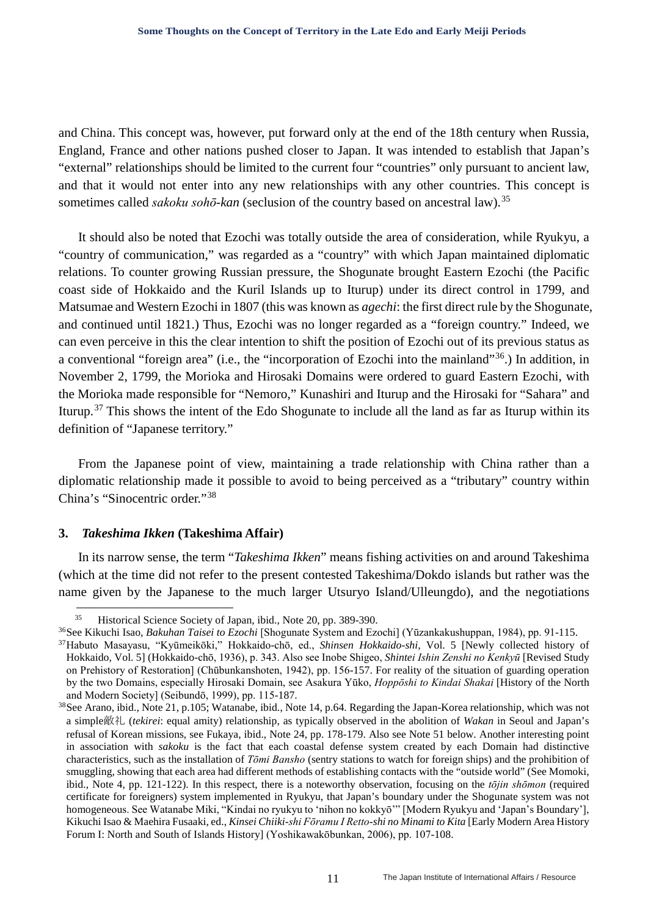and China. This concept was, however, put forward only at the end of the 18th century when Russia, England, France and other nations pushed closer to Japan. It was intended to establish that Japan's "external" relationships should be limited to the current four "countries" only pursuant to ancient law, and that it would not enter into any new relationships with any other countries. This concept is sometimes called *sakoku sohō-kan* (seclusion of the country based on ancestral law).[35](#page-10-0)

It should also be noted that Ezochi was totally outside the area of consideration, while Ryukyu, a "country of communication," was regarded as a "country" with which Japan maintained diplomatic relations. To counter growing Russian pressure, the Shogunate brought Eastern Ezochi (the Pacific coast side of Hokkaido and the Kuril Islands up to Iturup) under its direct control in 1799, and Matsumae and Western Ezochi in 1807 (this was known as *agechi*: the first direct rule by the Shogunate, and continued until 1821.) Thus, Ezochi was no longer regarded as a "foreign country." Indeed, we can even perceive in this the clear intention to shift the position of Ezochi out of its previous status as a conventional "foreign area" (i.e., the "incorporation of Ezochi into the mainland"[36.](#page-10-1)) In addition, in November 2, 1799, the Morioka and Hirosaki Domains were ordered to guard Eastern Ezochi, with the Morioka made responsible for "Nemoro," Kunashiri and Iturup and the Hirosaki for "Sahara" and Iturup.[37](#page-10-2) This shows the intent of the Edo Shogunate to include all the land as far as Iturup within its definition of "Japanese territory."

From the Japanese point of view, maintaining a trade relationship with China rather than a diplomatic relationship made it possible to avoid to being perceived as a "tributary" country within China's "Sinocentric order."<sup>[38](#page-10-3)</sup>

### **3.** *Takeshima Ikken* **(Takeshima Affair)**

In its narrow sense, the term "*Takeshima Ikken*" means fishing activities on and around Takeshima (which at the time did not refer to the present contested Takeshima/Dokdo islands but rather was the name given by the Japanese to the much larger Utsuryo Island/Ulleungdo), and the negotiations

 <sup>35</sup> Historical Science Society of Japan, ibid., Note 20, pp. 389-390.

<span id="page-10-1"></span><span id="page-10-0"></span><sup>36</sup>See Kikuchi Isao, *Bakuhan Taisei to Ezochi* [Shogunate System and Ezochi] (Yūzankakushuppan, 1984), pp. 91-115.

<span id="page-10-2"></span><sup>37</sup>Habuto Masayasu, "Kyūmeikōki," Hokkaido-chō, ed., *Shinsen Hokkaido-shi,* Vol. 5 [Newly collected history of Hokkaido, Vol. 5] (Hokkaido-chō, 1936), p. 343. Also see Inobe Shigeo, *Shintei Ishin Zenshi no Kenkyū* [Revised Study on Prehistory of Restoration] (Chūbunkanshoten, 1942), pp. 156-157. For reality of the situation of guarding operation by the two Domains, especially Hirosaki Domain, see Asakura Yūko, *Hoppōshi to Kindai Shakai* [History of the North and Modern Society] (Seibundō, 1999), pp. 115-187.

<span id="page-10-3"></span><sup>38</sup>See Arano, ibid., Note 21, p.105; Watanabe, ibid*.*, Note 14, p.64. Regarding the Japan-Korea relationship, which was not a simple敵礼 (*tekirei*: equal amity) relationship, as typically observed in the abolition of *Wakan* in Seoul and Japan's refusal of Korean missions, see Fukaya, ibid., Note 24, pp. 178-179. Also see Note 51 below. Another interesting point in association with *sakoku* is the fact that each coastal defense system created by each Domain had distinctive characteristics, such as the installation of *Tōmi Bansho* (sentry stations to watch for foreign ships) and the prohibition of smuggling, showing that each area had different methods of establishing contacts with the "outside world" (See Momoki, ibid., Note 4, pp. 121-122). In this respect, there is a noteworthy observation, focusing on the *tōjin shōmon* (required certificate for foreigners) system implemented in Ryukyu, that Japan's boundary under the Shogunate system was not homogeneous. See Watanabe Miki, "Kindai no ryukyu to 'nihon no kokkyō'" [Modern Ryukyu and 'Japan's Boundary'], Kikuchi Isao & Maehira Fusaaki, ed., *Kinsei Chiiki-shi Fōramu I Retto-shi no Minami to Kita* [Early Modern Area History Forum I: North and South of Islands History] (Yoshikawakōbunkan, 2006), pp. 107-108.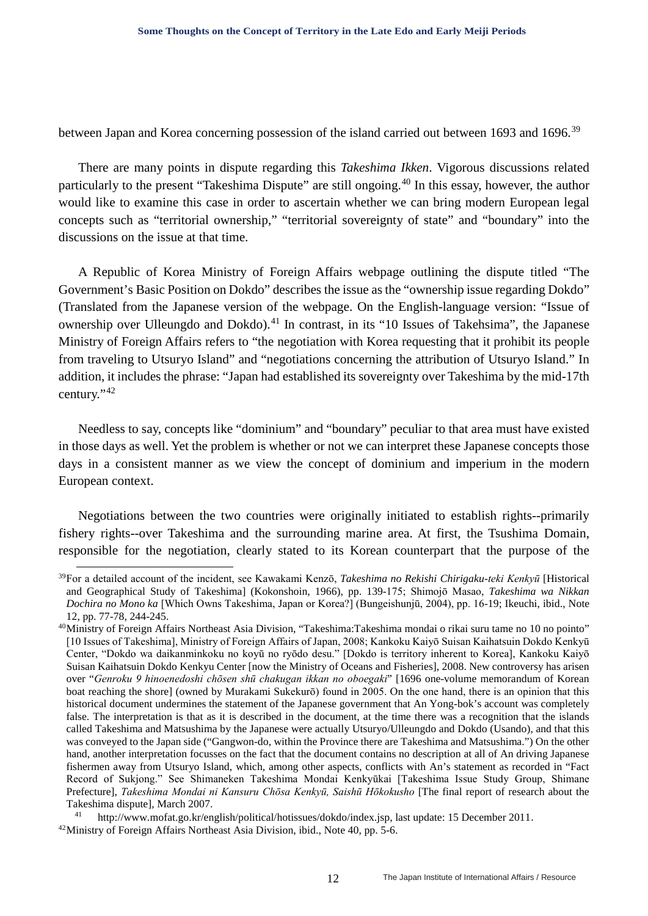between Japan and Korea concerning possession of the island carried out between 1693 and 1696.<sup>[39](#page-11-0)</sup>

There are many points in dispute regarding this *Takeshima Ikken*. Vigorous discussions related particularly to the present "Takeshima Dispute" are still ongoing.[40](#page-11-1) In this essay, however, the author would like to examine this case in order to ascertain whether we can bring modern European legal concepts such as "territorial ownership," "territorial sovereignty of state" and "boundary" into the discussions on the issue at that time.

A Republic of Korea Ministry of Foreign Affairs webpage outlining the dispute titled "The Government's Basic Position on Dokdo" describes the issue as the "ownership issue regarding Dokdo" (Translated from the Japanese version of the webpage. On the English-language version: "Issue of ownership over Ulleungdo and Dokdo).<sup>[41](#page-11-2)</sup> In contrast, in its "10 Issues of Takehsima", the Japanese Ministry of Foreign Affairs refers to "the negotiation with Korea requesting that it prohibit its people from traveling to Utsuryo Island" and "negotiations concerning the attribution of Utsuryo Island." In addition, it includes the phrase: "Japan had established its sovereignty over Takeshima by the mid-17th century."[42](#page-11-3)

Needless to say, concepts like "dominium" and "boundary" peculiar to that area must have existed in those days as well. Yet the problem is whether or not we can interpret these Japanese concepts those days in a consistent manner as we view the concept of dominium and imperium in the modern European context.

Negotiations between the two countries were originally initiated to establish rights--primarily fishery rights--over Takeshima and the surrounding marine area. At first, the Tsushima Domain, responsible for the negotiation, clearly stated to its Korean counterpart that the purpose of the

<span id="page-11-0"></span> <sup>39</sup>For a detailed account of the incident, see Kawakami Kenzō, *Takeshima no Rekishi Chirigaku-teki Kenkyū* [Historical and Geographical Study of Takeshima] (Kokonshoin, 1966), pp. 139-175; Shimojō Masao, *Takeshima wa Nikkan Dochira no Mono ka* [Which Owns Takeshima, Japan or Korea?] (Bungeishunjū, 2004), pp. 16-19; Ikeuchi, ibid., Note 12, pp. 77-78, 244-245.

<span id="page-11-1"></span><sup>40</sup>Ministry of Foreign Affairs Northeast Asia Division, "Takeshima:Takeshima mondai o rikai suru tame no 10 no pointo" [10 Issues of Takeshima], Ministry of Foreign Affairs of Japan, 2008; Kankoku Kaiyō Suisan Kaihatsuin Dokdo Kenkyū Center, "Dokdo wa daikanminkoku no koyū no ryōdo desu." [Dokdo is territory inherent to Korea], Kankoku Kaiyō Suisan Kaihatsuin Dokdo Kenkyu Center [now the Ministry of Oceans and Fisheries], 2008. New controversy has arisen over "*Genroku 9 hinoenedoshi chōsen shū chakugan ikkan no oboegaki*" [1696 one-volume memorandum of Korean boat reaching the shore] (owned by Murakami Sukekurō) found in 2005. On the one hand, there is an opinion that this historical document undermines the statement of the Japanese government that An Yong-bok's account was completely false. The interpretation is that as it is described in the document, at the time there was a recognition that the islands called Takeshima and Matsushima by the Japanese were actually Utsuryo/Ulleungdo and Dokdo (Usando), and that this was conveyed to the Japan side ("Gangwon-do, within the Province there are Takeshima and Matsushima.") On the other hand, another interpretation focusses on the fact that the document contains no description at all of An driving Japanese fishermen away from Utsuryo Island, which, among other aspects, conflicts with An's statement as recorded in "Fact Record of Sukjong." See Shimaneken Takeshima Mondai Kenkyūkai [Takeshima Issue Study Group, Shimane Prefecture], *Takeshima Mondai ni Kansuru Chōsa Kenkyū, Saishū Hōkokusho* [The final report of research about the Takeshima dispute], March 2007.

<span id="page-11-3"></span><span id="page-11-2"></span><sup>41</sup> http://www.mofat.go.kr/english/political/hotissues/dokdo/index.jsp, last update: 15 December 2011. <sup>42</sup>Ministry of Foreign Affairs Northeast Asia Division, ibid., Note 40, pp. 5-6.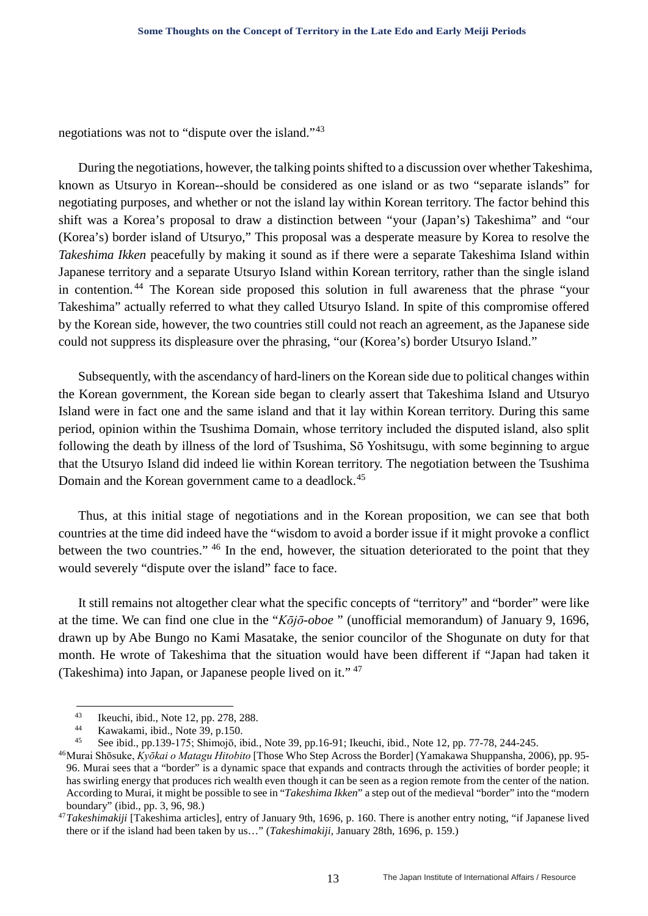negotiations was not to "dispute over the island."[43](#page-12-0)

During the negotiations, however, the talking points shifted to a discussion over whether Takeshima, known as Utsuryo in Korean--should be considered as one island or as two "separate islands" for negotiating purposes, and whether or not the island lay within Korean territory. The factor behind this shift was a Korea's proposal to draw a distinction between "your (Japan's) Takeshima" and "our (Korea's) border island of Utsuryo," This proposal was a desperate measure by Korea to resolve the *Takeshima Ikken* peacefully by making it sound as if there were a separate Takeshima Island within Japanese territory and a separate Utsuryo Island within Korean territory, rather than the single island in contention. [44](#page-12-1) The Korean side proposed this solution in full awareness that the phrase "your Takeshima" actually referred to what they called Utsuryo Island. In spite of this compromise offered by the Korean side, however, the two countries still could not reach an agreement, as the Japanese side could not suppress its displeasure over the phrasing, "our (Korea's) border Utsuryo Island."

Subsequently, with the ascendancy of hard-liners on the Korean side due to political changes within the Korean government, the Korean side began to clearly assert that Takeshima Island and Utsuryo Island were in fact one and the same island and that it lay within Korean territory. During this same period, opinion within the Tsushima Domain, whose territory included the disputed island, also split following the death by illness of the lord of Tsushima, Sō Yoshitsugu, with some beginning to argue that the Utsuryo Island did indeed lie within Korean territory. The negotiation between the Tsushima Domain and the Korean government came to a deadlock.<sup>[45](#page-12-2)</sup>

Thus, at this initial stage of negotiations and in the Korean proposition, we can see that both countries at the time did indeed have the "wisdom to avoid a border issue if it might provoke a conflict between the two countries." [46](#page-12-3) In the end, however, the situation deteriorated to the point that they would severely "dispute over the island" face to face.

It still remains not altogether clear what the specific concepts of "territory" and "border" were like at the time. We can find one clue in the "*Kōjō-oboe* " (unofficial memorandum) of January 9, 1696, drawn up by Abe Bungo no Kami Masatake, the senior councilor of the Shogunate on duty for that month. He wrote of Takeshima that the situation would have been different if "Japan had taken it (Takeshima) into Japan, or Japanese people lived on it." [47](#page-12-4)

<sup>&</sup>lt;sup>43</sup> Ikeuchi, ibid., Note 12, pp. 278, 288.<br> $\frac{44}{150}$  Vertebeni, ibid. Note 29, p. 150.

<sup>44</sup> Kawakami, ibid., Note 39, p.150.<br> $\frac{45}{45}$  Socibid. pp.130, 175; Shimoiz il

<span id="page-12-0"></span><sup>45</sup> See ibid., pp.139-175; Shimojō, ibid*.*, Note 39, pp.16-91; Ikeuchi, ibid., Note 12, pp. 77-78, 244-245.

<span id="page-12-3"></span><span id="page-12-2"></span><span id="page-12-1"></span><sup>46</sup>Murai Shōsuke, *Kyōkai o Matagu Hitobito* [Those Who Step Across the Border] (Yamakawa Shuppansha, 2006), pp. 95- 96. Murai sees that a "border" is a dynamic space that expands and contracts through the activities of border people; it has swirling energy that produces rich wealth even though it can be seen as a region remote from the center of the nation. According to Murai, it might be possible to see in "*Takeshima Ikken*" a step out of the medieval "border" into the "modern boundary" (ibid., pp. 3, 96, 98.)

<span id="page-12-4"></span><sup>47</sup>*Takeshimakiji* [Takeshima articles], entry of January 9th, 1696, p. 160. There is another entry noting, "if Japanese lived there or if the island had been taken by us…" (*Takeshimakiji,* January 28th, 1696, p. 159.)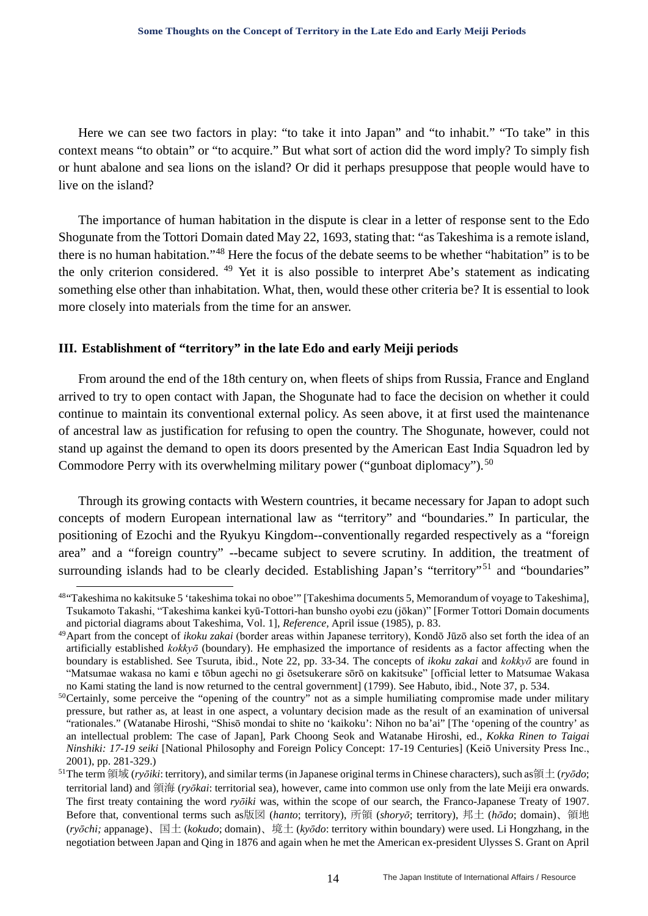Here we can see two factors in play: "to take it into Japan" and "to inhabit." "To take" in this context means "to obtain" or "to acquire." But what sort of action did the word imply? To simply fish or hunt abalone and sea lions on the island? Or did it perhaps presuppose that people would have to live on the island?

The importance of human habitation in the dispute is clear in a letter of response sent to the Edo Shogunate from the Tottori Domain dated May 22, 1693, stating that: "as Takeshima is a remote island, there is no human habitation."[48](#page-13-0) Here the focus of the debate seems to be whether "habitation" is to be the only criterion considered. [49](#page-13-1) Yet it is also possible to interpret Abe's statement as indicating something else other than inhabitation. What, then, would these other criteria be? It is essential to look more closely into materials from the time for an answer.

#### **III. Establishment of "territory" in the late Edo and early Meiji periods**

From around the end of the 18th century on, when fleets of ships from Russia, France and England arrived to try to open contact with Japan, the Shogunate had to face the decision on whether it could continue to maintain its conventional external policy. As seen above, it at first used the maintenance of ancestral law as justification for refusing to open the country. The Shogunate, however, could not stand up against the demand to open its doors presented by the American East India Squadron led by Commodore Perry with its overwhelming military power ("gunboat diplomacy").<sup>[50](#page-13-2)</sup>

Through its growing contacts with Western countries, it became necessary for Japan to adopt such concepts of modern European international law as "territory" and "boundaries." In particular, the positioning of Ezochi and the Ryukyu Kingdom--conventionally regarded respectively as a "foreign area" and a "foreign country" --became subject to severe scrutiny. In addition, the treatment of surrounding islands had to be clearly decided. Establishing Japan's "territory"<sup>[51](#page-13-3)</sup> and "boundaries"

<span id="page-13-0"></span> <sup>48&</sup>quot;Takeshima no kakitsuke 5 'takeshima tokai no oboe'" [Takeshima documents 5, Memorandum of voyage to Takeshima], Tsukamoto Takashi, "Takeshima kankei kyū-Tottori-han bunsho oyobi ezu (jōkan)" [Former Tottori Domain documents and pictorial diagrams about Takeshima, Vol. 1], *Reference,* April issue (1985), p. 83.

<span id="page-13-1"></span><sup>49</sup>Apart from the concept of *ikoku zakai* (border areas within Japanese territory), Kondō Jūzō also set forth the idea of an artificially established *kokkyō* (boundary). He emphasized the importance of residents as a factor affecting when the boundary is established. See Tsuruta, ibid., Note 22, pp. 33-34. The concepts of *ikoku zakai* and *kokkyō* are found in "Matsumae wakasa no kami e tōbun agechi no gi ōsetsukerare sōrō on kakitsuke" [official letter to Matsumae Wakasa no Kami stating the land is now returned to the central government] (1799). See Habuto, ibid., Note 37, p. 534.

<span id="page-13-2"></span><sup>&</sup>lt;sup>50</sup>Certainly, some perceive the "opening of the country" not as a simple humiliating compromise made under military pressure, but rather as, at least in one aspect, a voluntary decision made as the result of an examination of universal "rationales." (Watanabe Hiroshi, "Shisō mondai to shite no 'kaikoku': Nihon no ba'ai" [The 'opening of the country' as an intellectual problem: The case of Japan], Park Choong Seok and Watanabe Hiroshi, ed., *Kokka Rinen to Taigai Ninshiki: 17-19 seiki* [National Philosophy and Foreign Policy Concept: 17-19 Centuries] (Keiō University Press Inc., 2001), pp. 281-329.)

<span id="page-13-3"></span><sup>51</sup>The term 領域 (*ryōiki*: territory), and similar terms (in Japanese original terms in Chinese characters), such as領土 (*ryōdo*; territorial land) and 領海 (*ryōkai*: territorial sea), however, came into common use only from the late Meiji era onwards. The first treaty containing the word *ryōiki* was, within the scope of our search, the Franco-Japanese Treaty of 1907. Before that, conventional terms such as版図 (*hanto*; territory), 所領 (*shoryō*; territory), 邦土 (*hōdo*; domain)、領地 (*ryōchi;* appanage)、国土 (*kokudo*; domain)、境土 (*kyōdo*: territory within boundary) were used. Li Hongzhang, in the negotiation between Japan and Qing in 1876 and again when he met the American ex-president Ulysses S. Grant on April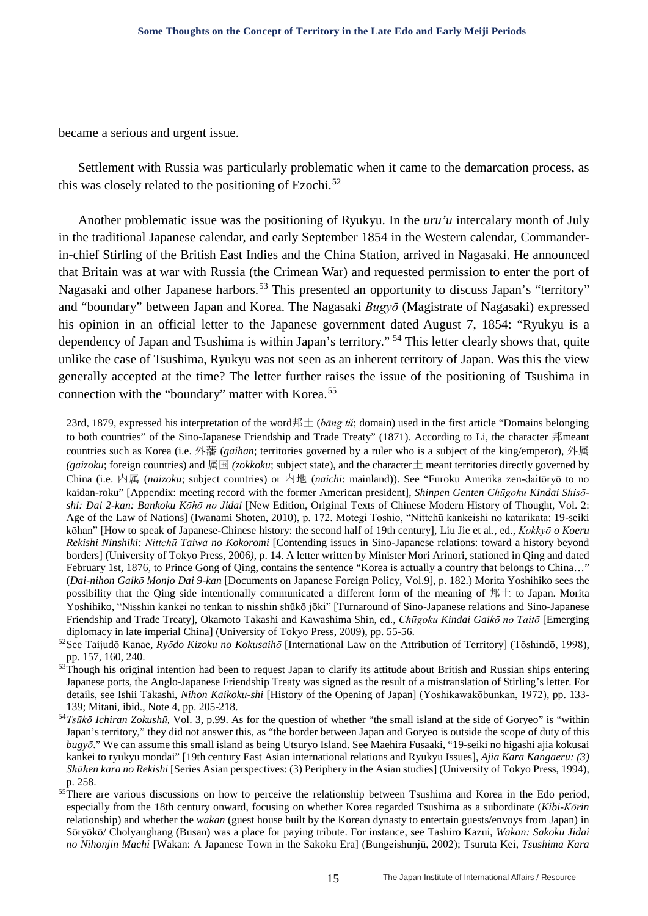became a serious and urgent issue.

-

Settlement with Russia was particularly problematic when it came to the demarcation process, as this was closely related to the positioning of Ezochi.<sup>[52](#page-14-0)</sup>

Another problematic issue was the positioning of Ryukyu. In the *uru'u* intercalary month of July in the traditional Japanese calendar, and early September 1854 in the Western calendar, Commanderin-chief Stirling of the British East Indies and the China Station, arrived in Nagasaki. He announced that Britain was at war with Russia (the Crimean War) and requested permission to enter the port of Nagasaki and other Japanese harbors.<sup>[53](#page-14-1)</sup> This presented an opportunity to discuss Japan's "territory" and "boundary" between Japan and Korea. The Nagasaki *Bugyō* (Magistrate of Nagasaki) expressed his opinion in an official letter to the Japanese government dated August 7, 1854: "Ryukyu is a dependency of Japan and Tsushima is within Japan's territory." [54](#page-14-2) This letter clearly shows that, quite unlike the case of Tsushima, Ryukyu was not seen as an inherent territory of Japan. Was this the view generally accepted at the time? The letter further raises the issue of the positioning of Tsushima in connection with the "boundary" matter with Korea.[55](#page-14-3)

<sup>23</sup>rd, 1879, expressed his interpretation of the word邦土 (*bāng tŭ*; domain) used in the first article "Domains belonging to both countries" of the Sino-Japanese Friendship and Trade Treaty" (1871). According to Li, the character 邦meant countries such as Korea (i.e. 外藩 (*gaihan*; territories governed by a ruler who is a subject of the king/emperor), 外属 *(gaizoku*; foreign countries) and 属国 *(zokkoku*; subject state), and the character土 meant territories directly governed by China (i.e. 内属 (*naizoku*; subject countries) or 内地 (*naichi*: mainland)). See "Furoku Amerika zen-daitōryō to no kaidan-roku" [Appendix: meeting record with the former American president], *Shinpen Genten Chūgoku Kindai Shisōshi: Dai 2-kan: Bankoku Kōhō no Jidai* [New Edition, Original Texts of Chinese Modern History of Thought, Vol. 2: Age of the Law of Nations] (Iwanami Shoten, 2010), p. 172. Motegi Toshio, "Nittchū kankeishi no katarikata: 19-seiki kōhan" [How to speak of Japanese-Chinese history: the second half of 19th century], Liu Jie et al., ed., *Kokkyō o Koeru Rekishi Ninshiki: Nittchū Taiwa no Kokoromi* [Contending issues in Sino-Japanese relations: toward a history beyond borders] (University of Tokyo Press, 2006*)*, p. 14. A letter written by Minister Mori Arinori, stationed in Qing and dated February 1st, 1876, to Prince Gong of Qing, contains the sentence "Korea is actually a country that belongs to China…" (*Dai-nihon Gaikō Monjo Dai 9-kan* [Documents on Japanese Foreign Policy, Vol.9], p. 182.) Morita Yoshihiko sees the possibility that the Qing side intentionally communicated a different form of the meaning of 邦土 to Japan. Morita Yoshihiko, "Nisshin kankei no tenkan to nisshin shūkō jōki" [Turnaround of Sino-Japanese relations and Sino-Japanese Friendship and Trade Treaty], Okamoto Takashi and Kawashima Shin, ed., *Chūgoku Kindai Gaikō no Taitō* [Emerging diplomacy in late imperial China] (University of Tokyo Press, 2009), pp. 55-56.<br><sup>52</sup>See Taijudō Kanae, *Ryōdo Kizoku no Kokusaihō* [International Law on the Attribution of Territory] (Tōshindō, 1998),

<span id="page-14-0"></span>pp. 157, 160, 240.

<span id="page-14-1"></span><sup>53</sup>Though his original intention had been to request Japan to clarify its attitude about British and Russian ships entering Japanese ports, the Anglo-Japanese Friendship Treaty was signed as the result of a mistranslation of Stirling's letter. For details, see Ishii Takashi, *Nihon Kaikoku-shi* [History of the Opening of Japan] (Yoshikawakōbunkan, 1972), pp. 133- 139; Mitani, ibid., Note 4, pp. 205-218.

<span id="page-14-2"></span><sup>54</sup>*Tsūkō Ichiran Zokushū,* Vol. 3, p.99. As for the question of whether "the small island at the side of Goryeo" is "within Japan's territory," they did not answer this, as "the border between Japan and Goryeo is outside the scope of duty of this *bugyō*." We can assume this small island as being Utsuryo Island. See Maehira Fusaaki, "19-seiki no higashi ajia kokusai kankei to ryukyu mondai" [19th century East Asian international relations and Ryukyu Issues], *Ajia Kara Kangaeru: (3) Shūhen kara no Rekishi* [Series Asian perspectives: (3) Periphery in the Asian studies] (University of Tokyo Press, 1994), p. 258.

<span id="page-14-3"></span><sup>&</sup>lt;sup>55</sup>There are various discussions on how to perceive the relationship between Tsushima and Korea in the Edo period, especially from the 18th century onward, focusing on whether Korea regarded Tsushima as a subordinate (*Kibi*-*Kōrin* relationship) and whether the *wakan* (guest house built by the Korean dynasty to entertain guests/envoys from Japan) in Sōryōkō/ Cholyanghang (Busan) was a place for paying tribute. For instance, see Tashiro Kazui, *Wakan: Sakoku Jidai no Nihonjin Machi* [Wakan: A Japanese Town in the Sakoku Era] (Bungeishunjū, 2002); Tsuruta Kei, *Tsushima Kara*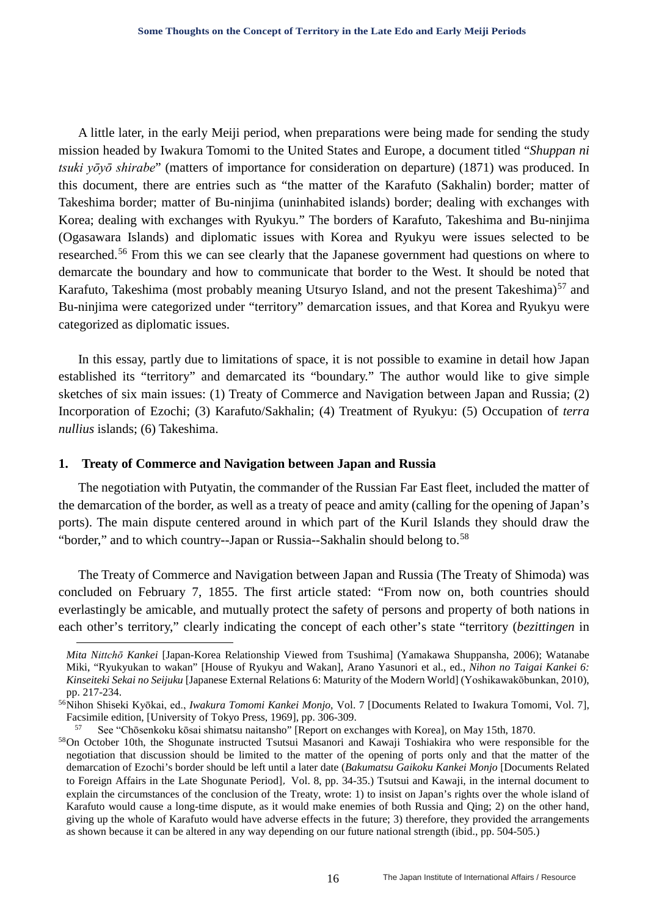A little later, in the early Meiji period, when preparations were being made for sending the study mission headed by Iwakura Tomomi to the United States and Europe, a document titled "*Shuppan ni tsuki yōyō shirabe*" (matters of importance for consideration on departure) (1871) was produced. In this document, there are entries such as "the matter of the Karafuto (Sakhalin) border; matter of Takeshima border; matter of Bu-ninjima (uninhabited islands) border; dealing with exchanges with Korea; dealing with exchanges with Ryukyu." The borders of Karafuto, Takeshima and Bu-ninjima (Ogasawara Islands) and diplomatic issues with Korea and Ryukyu were issues selected to be researched.<sup>[56](#page-15-0)</sup> From this we can see clearly that the Japanese government had questions on where to demarcate the boundary and how to communicate that border to the West. It should be noted that Karafuto, Takeshima (most probably meaning Utsuryo Island, and not the present Takeshima)<sup>[57](#page-15-1)</sup> and Bu-ninjima were categorized under "territory" demarcation issues, and that Korea and Ryukyu were categorized as diplomatic issues.

In this essay, partly due to limitations of space, it is not possible to examine in detail how Japan established its "territory" and demarcated its "boundary." The author would like to give simple sketches of six main issues: (1) Treaty of Commerce and Navigation between Japan and Russia; (2) Incorporation of Ezochi; (3) Karafuto/Sakhalin; (4) Treatment of Ryukyu: (5) Occupation of *terra nullius* islands; (6) Takeshima.

#### **1. Treaty of Commerce and Navigation between Japan and Russia**

<u>.</u>

The negotiation with Putyatin, the commander of the Russian Far East fleet, included the matter of the demarcation of the border, as well as a treaty of peace and amity (calling for the opening of Japan's ports). The main dispute centered around in which part of the Kuril Islands they should draw the "border," and to which country--Japan or Russia--Sakhalin should belong to.<sup>[58](#page-15-2)</sup>

The Treaty of Commerce and Navigation between Japan and Russia (The Treaty of Shimoda) was concluded on February 7, 1855. The first article stated: "From now on, both countries should everlastingly be amicable, and mutually protect the safety of persons and property of both nations in each other's territory," clearly indicating the concept of each other's state "territory (*bezittingen* in

*Mita Nittchō Kankei* [Japan-Korea Relationship Viewed from Tsushima] (Yamakawa Shuppansha, 2006); Watanabe Miki, "Ryukyukan to wakan" [House of Ryukyu and Wakan], Arano Yasunori et al., ed., *Nihon no Taigai Kankei 6: Kinseiteki Sekai no Seijuku* [Japanese External Relations 6: Maturity of the Modern World] (Yoshikawakōbunkan, 2010), pp. 217-234.

<span id="page-15-0"></span><sup>56</sup>Nihon Shiseki Kyōkai, ed., *Iwakura Tomomi Kankei Monjo,* Vol. 7 [Documents Related to Iwakura Tomomi, Vol. 7], Facsimile edition, [University of Tokyo Press, 1969], pp. 306-309.

<sup>57</sup> See "Chōsenkoku kōsai shimatsu naitansho" [Report on exchanges with Korea], on May 15th, 1870.

<span id="page-15-2"></span><span id="page-15-1"></span><sup>&</sup>lt;sup>58</sup>On October 10th, the Shogunate instructed Tsutsui Masanori and Kawaji Toshiakira who were responsible for the negotiation that discussion should be limited to the matter of the opening of ports only and that the matter of the demarcation of Ezochi's border should be left until a later date (*Bakumatsu Gaikoku Kankei Monjo* [Documents Related to Foreign Affairs in the Late Shogunate Period], Vol. 8, pp. 34-35.) Tsutsui and Kawaji, in the internal document to explain the circumstances of the conclusion of the Treaty, wrote: 1) to insist on Japan's rights over the whole island of Karafuto would cause a long-time dispute, as it would make enemies of both Russia and Qing; 2) on the other hand, giving up the whole of Karafuto would have adverse effects in the future; 3) therefore, they provided the arrangements as shown because it can be altered in any way depending on our future national strength (ibid., pp. 504-505.)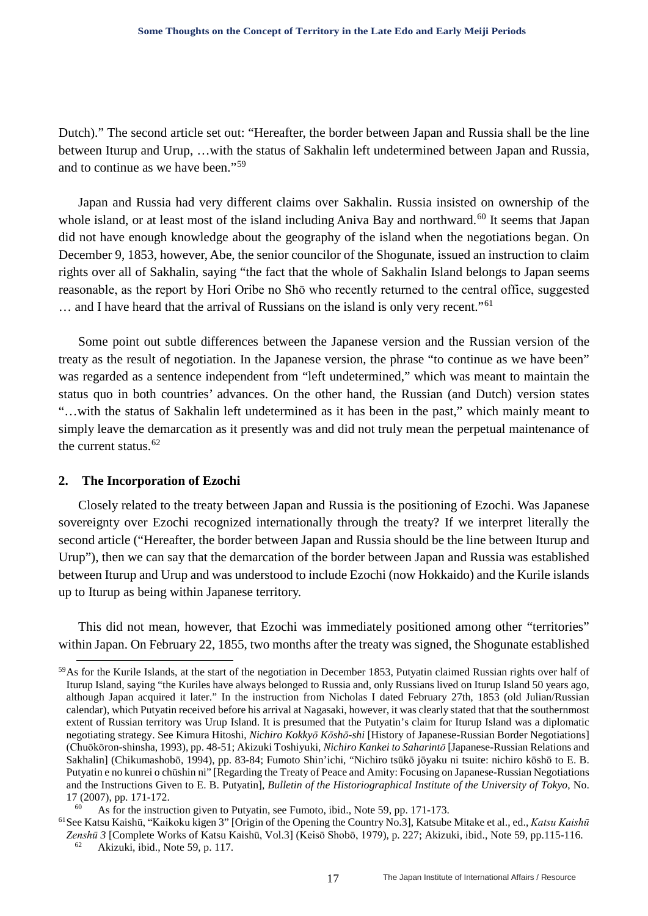Dutch)." The second article set out: "Hereafter, the border between Japan and Russia shall be the line between Iturup and Urup, …with the status of Sakhalin left undetermined between Japan and Russia, and to continue as we have been."[59](#page-16-0)

Japan and Russia had very different claims over Sakhalin. Russia insisted on ownership of the whole island, or at least most of the island including Aniva Bay and northward.<sup>[60](#page-16-1)</sup> It seems that Japan did not have enough knowledge about the geography of the island when the negotiations began. On December 9, 1853, however, Abe, the senior councilor of the Shogunate, issued an instruction to claim rights over all of Sakhalin, saying "the fact that the whole of Sakhalin Island belongs to Japan seems reasonable, as the report by Hori Oribe no Shō who recently returned to the central office, suggested … and I have heard that the arrival of Russians on the island is only very recent."[61](#page-16-2)

Some point out subtle differences between the Japanese version and the Russian version of the treaty as the result of negotiation. In the Japanese version, the phrase "to continue as we have been" was regarded as a sentence independent from "left undetermined," which was meant to maintain the status quo in both countries' advances. On the other hand, the Russian (and Dutch) version states "…with the status of Sakhalin left undetermined as it has been in the past," which mainly meant to simply leave the demarcation as it presently was and did not truly mean the perpetual maintenance of the current status.  $62$ 

### **2. The Incorporation of Ezochi**

Closely related to the treaty between Japan and Russia is the positioning of Ezochi. Was Japanese sovereignty over Ezochi recognized internationally through the treaty? If we interpret literally the second article ("Hereafter, the border between Japan and Russia should be the line between Iturup and Urup"), then we can say that the demarcation of the border between Japan and Russia was established between Iturup and Urup and was understood to include Ezochi (now Hokkaido) and the Kurile islands up to Iturup as being within Japanese territory.

This did not mean, however, that Ezochi was immediately positioned among other "territories" within Japan. On February 22, 1855, two months after the treaty was signed, the Shogunate established

<span id="page-16-3"></span><span id="page-16-2"></span><span id="page-16-1"></span>61See Katsu Kaishū, "Kaikoku kigen 3" [Origin of the Opening the Country No.3], Katsube Mitake et al., ed., *Katsu Kaishū Zenshū 3* [Complete Works of Katsu Kaishū, Vol.3] (Keisō Shobō, 1979), p. 227; Akizuki, ibid., Note 59, pp.115-116.

<span id="page-16-0"></span> <sup>59</sup>As for the Kurile Islands, at the start of the negotiation in December 1853, Putyatin claimed Russian rights over half of Iturup Island, saying "the Kuriles have always belonged to Russia and, only Russians lived on Iturup Island 50 years ago, although Japan acquired it later." In the instruction from Nicholas I dated February 27th, 1853 (old Julian/Russian calendar), which Putyatin received before his arrival at Nagasaki, however, it was clearly stated that that the southernmost extent of Russian territory was Urup Island. It is presumed that the Putyatin's claim for Iturup Island was a diplomatic negotiating strategy. See Kimura Hitoshi, *Nichiro Kokkyō Kōshō-shi* [History of Japanese-Russian Border Negotiations] (Chuōkōron-shinsha, 1993), pp. 48-51; Akizuki Toshiyuki, *Nichiro Kankei to Saharintō* [Japanese-Russian Relations and Sakhalin] (Chikumashobō, 1994), pp. 83-84; Fumoto Shin'ichi, "Nichiro tsūkō jōyaku ni tsuite: nichiro kōshō to E. B. Putyatin e no kunrei o chūshin ni" [Regarding the Treaty of Peace and Amity: Focusing on Japanese-Russian Negotiations and the Instructions Given to E. B. Putyatin], *Bulletin of the Historiographical Institute of the University of Tokyo*, No. 17 (2007), pp. 171-172.

As for the instruction given to Putyatin, see Fumoto, ibid., Note 59, pp. 171-173.

<sup>62</sup> Akizuki, ibid., Note 59, p. 117.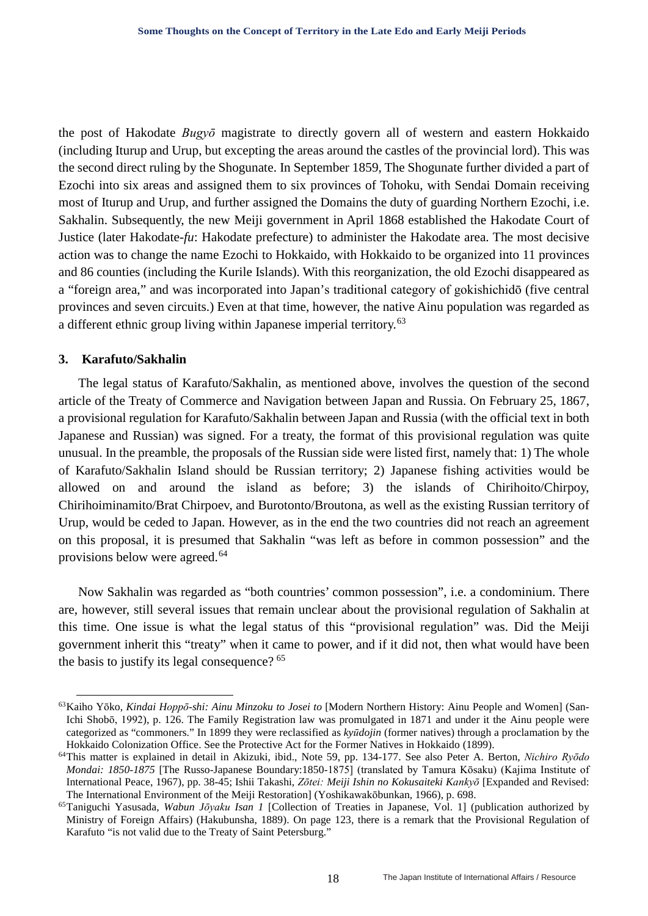the post of Hakodate *Bugyō* magistrate to directly govern all of western and eastern Hokkaido (including Iturup and Urup, but excepting the areas around the castles of the provincial lord). This was the second direct ruling by the Shogunate. In September 1859, The Shogunate further divided a part of Ezochi into six areas and assigned them to six provinces of Tohoku, with Sendai Domain receiving most of Iturup and Urup, and further assigned the Domains the duty of guarding Northern Ezochi, i.e. Sakhalin. Subsequently, the new Meiji government in April 1868 established the Hakodate Court of Justice (later Hakodate-*fu*: Hakodate prefecture) to administer the Hakodate area. The most decisive action was to change the name Ezochi to Hokkaido, with Hokkaido to be organized into 11 provinces and 86 counties (including the Kurile Islands). With this reorganization, the old Ezochi disappeared as a "foreign area," and was incorporated into Japan's traditional category of gokishichidō (five central provinces and seven circuits.) Even at that time, however, the native Ainu population was regarded as a different ethnic group living within Japanese imperial territory.<sup>[63](#page-17-0)</sup>

#### **3. Karafuto/Sakhalin**

The legal status of Karafuto/Sakhalin, as mentioned above, involves the question of the second article of the Treaty of Commerce and Navigation between Japan and Russia. On February 25, 1867, a provisional regulation for Karafuto/Sakhalin between Japan and Russia (with the official text in both Japanese and Russian) was signed. For a treaty, the format of this provisional regulation was quite unusual. In the preamble, the proposals of the Russian side were listed first, namely that: 1) The whole of Karafuto/Sakhalin Island should be Russian territory; 2) Japanese fishing activities would be allowed on and around the island as before; 3) the islands of Chirihoito/Chirpoy, Chirihoiminamito/Brat Chirpoev, and Burotonto/Broutona, as well as the existing Russian territory of Urup, would be ceded to Japan. However, as in the end the two countries did not reach an agreement on this proposal, it is presumed that Sakhalin "was left as before in common possession" and the provisions below were agreed.[64](#page-17-1)

Now Sakhalin was regarded as "both countries' common possession", i.e. a condominium. There are, however, still several issues that remain unclear about the provisional regulation of Sakhalin at this time. One issue is what the legal status of this "provisional regulation" was. Did the Meiji government inherit this "treaty" when it came to power, and if it did not, then what would have been the basis to justify its legal consequence? [65](#page-17-2)

<span id="page-17-0"></span> <sup>63</sup>Kaiho <sup>Y</sup>ōko, *Kindai Hoppō-shi: Ainu Minzoku to Josei to* [Modern Northern History: Ainu People and Women] (San-Ichi Shobō, 1992), p. 126. The Family Registration law was promulgated in 1871 and under it the Ainu people were categorized as "commoners." In 1899 they were reclassified as *kyūdojin* (former natives) through a proclamation by the Hokkaido Colonization Office. See the Protective Act for the Former Natives in Hokkaido (1899).<br><sup>64</sup>This matter is explained in detail in Akizuki, ibid., Note 59, pp. 134-177. See also Peter A. Berton, *Nichiro Ryōdo* 

<span id="page-17-1"></span>*Mondai: 1850-1875* [The Russo-Japanese Boundary:1850-1875] (translated by Tamura Kōsaku) (Kajima Institute of International Peace, 1967), pp. 38-45; Ishii Takashi, *Zōtei: Meiji Ishin no Kokusaiteki Kankyō* [Expanded and Revised: The International Environment of the Meiji Restoration] (Yoshikawakōbunkan, 1966), p. 698.

<span id="page-17-2"></span><sup>65</sup>Taniguchi Yasusada, *Wabun Jōyaku Isan 1* [Collection of Treaties in Japanese, Vol. 1] (publication authorized by Ministry of Foreign Affairs) (Hakubunsha, 1889). On page 123, there is a remark that the Provisional Regulation of Karafuto "is not valid due to the Treaty of Saint Petersburg."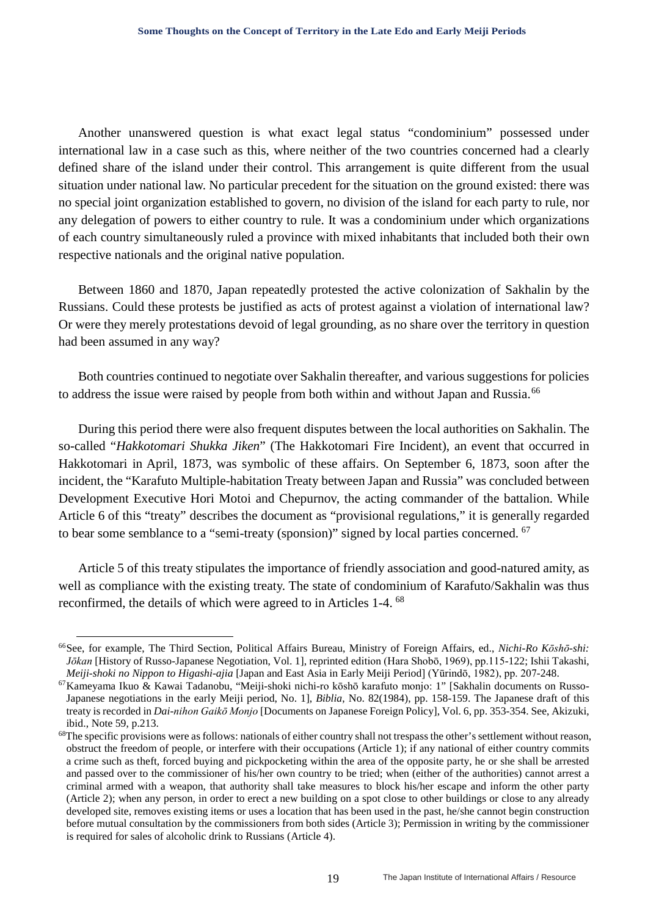Another unanswered question is what exact legal status "condominium" possessed under international law in a case such as this, where neither of the two countries concerned had a clearly defined share of the island under their control. This arrangement is quite different from the usual situation under national law. No particular precedent for the situation on the ground existed: there was no special joint organization established to govern, no division of the island for each party to rule, nor any delegation of powers to either country to rule. It was a condominium under which organizations of each country simultaneously ruled a province with mixed inhabitants that included both their own respective nationals and the original native population.

Between 1860 and 1870, Japan repeatedly protested the active colonization of Sakhalin by the Russians. Could these protests be justified as acts of protest against a violation of international law? Or were they merely protestations devoid of legal grounding, as no share over the territory in question had been assumed in any way?

Both countries continued to negotiate over Sakhalin thereafter, and various suggestions for policies to address the issue were raised by people from both within and without Japan and Russia.<sup>[66](#page-18-0)</sup>

During this period there were also frequent disputes between the local authorities on Sakhalin. The so-called "*Hakkotomari Shukka Jiken*" (The Hakkotomari Fire Incident), an event that occurred in Hakkotomari in April, 1873, was symbolic of these affairs. On September 6, 1873, soon after the incident, the "Karafuto Multiple-habitation Treaty between Japan and Russia" was concluded between Development Executive Hori Motoi and Chepurnov, the acting commander of the battalion. While Article 6 of this "treaty" describes the document as "provisional regulations," it is generally regarded to bear some semblance to a "semi-treaty (sponsion)" signed by local parties concerned. <sup>[67](#page-18-1)</sup>

Article 5 of this treaty stipulates the importance of friendly association and good-natured amity, as well as compliance with the existing treaty. The state of condominium of Karafuto/Sakhalin was thus reconfirmed, the details of which were agreed to in Articles 1-4. [68](#page-18-2) 

<span id="page-18-0"></span> <sup>66</sup>See, for example, The Third Section, Political Affairs Bureau, Ministry of Foreign Affairs, ed., *Nichi-Ro Kōshō-shi: Jōkan* [History of Russo-Japanese Negotiation, Vol. 1], reprinted edition (Hara Shobō, 1969), pp.115-122; Ishii Takashi, *Meiji-shoki no Nippon to Higashi-ajia* [Japan and East Asia in Early Meiji Period] (Yūrindō, 1982),

<span id="page-18-1"></span><sup>&</sup>lt;sup>67</sup> Kameyama Ikuo & Kawai Tadanobu, "Meiji-shoki nichi-ro kōshō karafuto monjo: 1" [Sakhalin documents on Russo-Japanese negotiations in the early Meiji period, No. 1], *Biblia*, No. 82(1984), pp. 158-159. The Japanese draft of this treaty is recorded in *Dai-nihon Gaikō Monjo* [Documents on Japanese Foreign Policy], Vol. 6, pp. 353-354. See, Akizuki, ibid., Note 59, p.213.

<span id="page-18-2"></span> $68$ The specific provisions were as follows: nationals of either country shall not trespass the other's settlement without reason, obstruct the freedom of people, or interfere with their occupations (Article 1); if any national of either country commits a crime such as theft, forced buying and pickpocketing within the area of the opposite party, he or she shall be arrested and passed over to the commissioner of his/her own country to be tried; when (either of the authorities) cannot arrest a criminal armed with a weapon, that authority shall take measures to block his/her escape and inform the other party (Article 2); when any person, in order to erect a new building on a spot close to other buildings or close to any already developed site, removes existing items or uses a location that has been used in the past, he/she cannot begin construction before mutual consultation by the commissioners from both sides (Article 3); Permission in writing by the commissioner is required for sales of alcoholic drink to Russians (Article 4).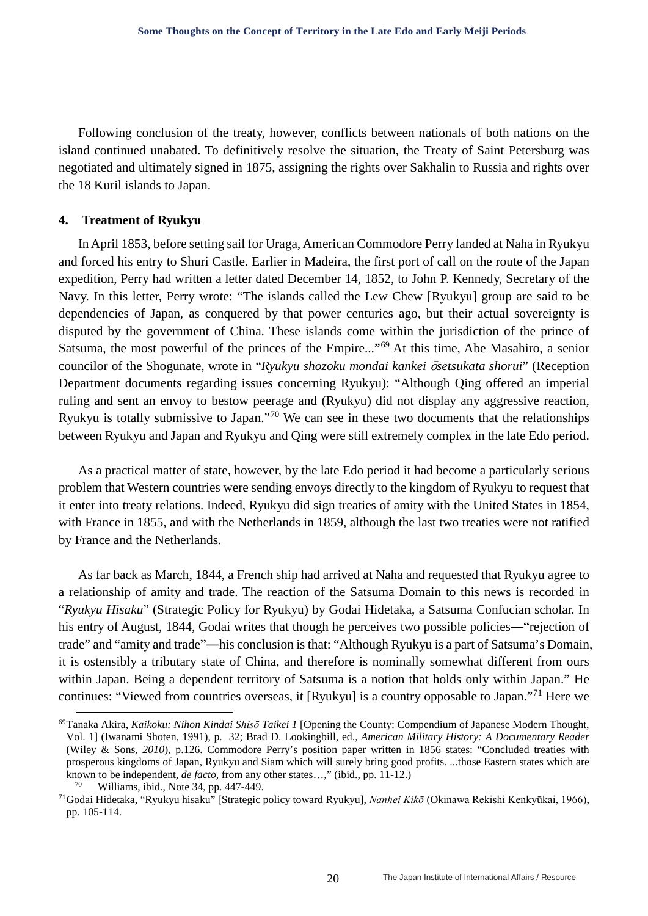Following conclusion of the treaty, however, conflicts between nationals of both nations on the island continued unabated. To definitively resolve the situation, the Treaty of Saint Petersburg was negotiated and ultimately signed in 1875, assigning the rights over Sakhalin to Russia and rights over the 18 Kuril islands to Japan.

#### **4. Treatment of Ryukyu**

In April 1853, before setting sail for Uraga, American Commodore Perry landed at Naha in Ryukyu and forced his entry to Shuri Castle. Earlier in Madeira, the first port of call on the route of the Japan expedition, Perry had written a letter dated December 14, 1852, to John P. Kennedy, Secretary of the Navy. In this letter, Perry wrote: "The islands called the Lew Chew [Ryukyu] group are said to be dependencies of Japan, as conquered by that power centuries ago, but their actual sovereignty is disputed by the government of China. These islands come within the jurisdiction of the prince of Satsuma, the most powerful of the princes of the Empire..."[69](#page-19-0) At this time, Abe Masahiro, a senior councilor of the Shogunate, wrote in "*Ryukyu shozoku mondai kankei* ō*setsukata shorui*" (Reception Department documents regarding issues concerning Ryukyu): "Although Qing offered an imperial ruling and sent an envoy to bestow peerage and (Ryukyu) did not display any aggressive reaction, Ryukyu is totally submissive to Japan."[70](#page-19-1) We can see in these two documents that the relationships between Ryukyu and Japan and Ryukyu and Qing were still extremely complex in the late Edo period.

As a practical matter of state, however, by the late Edo period it had become a particularly serious problem that Western countries were sending envoys directly to the kingdom of Ryukyu to request that it enter into treaty relations. Indeed, Ryukyu did sign treaties of amity with the United States in 1854, with France in 1855, and with the Netherlands in 1859, although the last two treaties were not ratified by France and the Netherlands.

As far back as March, 1844, a French ship had arrived at Naha and requested that Ryukyu agree to a relationship of amity and trade. The reaction of the Satsuma Domain to this news is recorded in "*Ryukyu Hisaku*" (Strategic Policy for Ryukyu) by Godai Hidetaka, a Satsuma Confucian scholar. In his entry of August, 1844, Godai writes that though he perceives two possible policies—"rejection of trade" and "amity and trade"―his conclusion is that: "Although Ryukyu is a part of Satsuma's Domain, it is ostensibly a tributary state of China, and therefore is nominally somewhat different from ours within Japan. Being a dependent territory of Satsuma is a notion that holds only within Japan." He continues: "Viewed from countries overseas, it [Ryukyu] is a country opposable to Japan."[71](#page-19-2) Here we

<span id="page-19-0"></span> <sup>69</sup>Tanaka Akira, *Kaikoku: Nihon Kindai Shisō Taikei 1* [Opening the County: Compendium of Japanese Modern Thought, Vol. 1] (Iwanami Shoten, 1991), p. 32; Brad D. Lookingbill, ed., *American Military History: A Documentary Reader* (Wiley & Sons, *2010*), p.126. Commodore Perry's position paper written in 1856 states: "Concluded treaties with prosperous kingdoms of Japan, Ryukyu and Siam which will surely bring good profits. ...those Eastern states which are known to be independent, *de facto*, from any other states...," (ibid., pp. 11-12.) <sup>70</sup> Williams, ibid., Note 34, pp. 447-449.

<span id="page-19-2"></span><span id="page-19-1"></span><sup>71</sup>Godai Hidetaka, "Ryukyu hisaku" [Strategic policy toward Ryukyu], *Nanhei Kikō* (Okinawa Rekishi Kenkyūkai, 1966), pp. 105-114.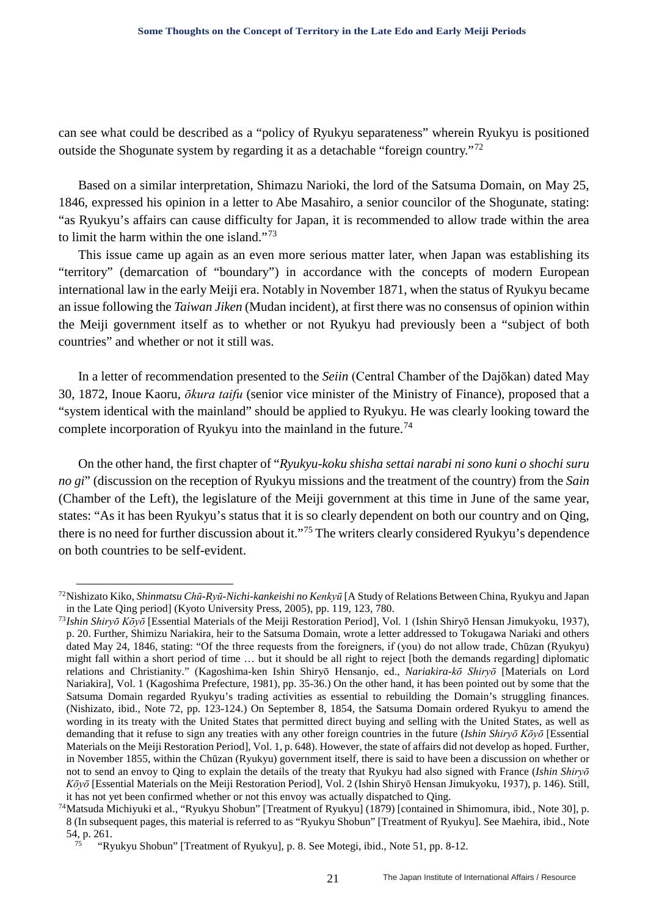can see what could be described as a "policy of Ryukyu separateness" wherein Ryukyu is positioned outside the Shogunate system by regarding it as a detachable "foreign country."[72](#page-20-0)

Based on a similar interpretation, Shimazu Narioki, the lord of the Satsuma Domain, on May 25, 1846, expressed his opinion in a letter to Abe Masahiro, a senior councilor of the Shogunate, stating: "as Ryukyu's affairs can cause difficulty for Japan, it is recommended to allow trade within the area to limit the harm within the one island."[73](#page-20-1)

This issue came up again as an even more serious matter later, when Japan was establishing its "territory" (demarcation of "boundary") in accordance with the concepts of modern European international law in the early Meiji era. Notably in November 1871, when the status of Ryukyu became an issue following the *Taiwan Jiken* (Mudan incident), at first there was no consensus of opinion within the Meiji government itself as to whether or not Ryukyu had previously been a "subject of both countries" and whether or not it still was.

In a letter of recommendation presented to the *Seiin* (Central Chamber of the Dajōkan) dated May 30, 1872, Inoue Kaoru, *ōkura taifu* (senior vice minister of the Ministry of Finance), proposed that a "system identical with the mainland" should be applied to Ryukyu. He was clearly looking toward the complete incorporation of Ryukyu into the mainland in the future.<sup>[74](#page-20-2)</sup>

On the other hand, the first chapter of "*Ryukyu-koku shisha settai narabi ni sono kuni o shochi suru no gi*" (discussion on the reception of Ryukyu missions and the treatment of the country) from the *Sain*  (Chamber of the Left), the legislature of the Meiji government at this time in June of the same year, states: "As it has been Ryukyu's status that it is so clearly dependent on both our country and on Qing, there is no need for further discussion about it."[75](#page-20-3) The writers clearly considered Ryukyu's dependence on both countries to be self-evident.

<span id="page-20-0"></span> <sup>72</sup>Nishizato Kiko, *Shinmatsu Chū-Ryū-Nichi-kankeishi no Kenkyū* [A Study of Relations Between China, Ryukyu and Japan in the Late Qing period] (Kyoto University Press, 2005), pp. 119, 123, 780.

<span id="page-20-1"></span><sup>73</sup>*Ishin Shiryō Kōyō* [Essential Materials of the Meiji Restoration Period], Vol. 1 (Ishin Shiryō Hensan Jimukyoku, 1937), p. 20. Further, Shimizu Nariakira, heir to the Satsuma Domain, wrote a letter addressed to Tokugawa Nariaki and others dated May 24, 1846, stating: "Of the three requests from the foreigners, if (you) do not allow trade, Chūzan (Ryukyu) might fall within a short period of time … but it should be all right to reject [both the demands regarding] diplomatic relations and Christianity." (Kagoshima-ken Ishin Shiryō Hensanjo, ed., *Nariakira-kō Shiryō* [Materials on Lord Nariakira], Vol. 1 (Kagoshima Prefecture, 1981), pp. 35-36.) On the other hand, it has been pointed out by some that the Satsuma Domain regarded Ryukyu's trading activities as essential to rebuilding the Domain's struggling finances. (Nishizato, ibid., Note 72, pp. 123-124.) On September 8, 1854, the Satsuma Domain ordered Ryukyu to amend the wording in its treaty with the United States that permitted direct buying and selling with the United States, as well as demanding that it refuse to sign any treaties with any other foreign countries in the future (*Ishin Shiryō Kōyō* [Essential Materials on the Meiji Restoration Period], Vol. 1, p. 648). However, the state of affairs did not develop as hoped. Further, in November 1855, within the Chūzan (Ryukyu) government itself, there is said to have been a discussion on whether or not to send an envoy to Qing to explain the details of the treaty that Ryukyu had also signed with France (*Ishin Shiryō Kōyō* [Essential Materials on the Meiji Restoration Period], Vol. 2 (Ishin Shiryō Hensan Jimukyoku, 1937), p. 146). Still, it has not yet been confirmed whether or not this envoy was actually dispatched to Qing. 74Matsuda Michiyuki et al., "Ryukyu Shobun" [Treatment of Ryukyu] (1879) [contained in Shimomura, ibid*.*, Note 30], p.

<span id="page-20-3"></span><span id="page-20-2"></span><sup>8</sup> (In subsequent pages, this material is referred to as "Ryukyu Shobun" [Treatment of Ryukyu]. See Maehira, ibid., Note 54, p. 261.

<sup>75</sup> "Ryukyu Shobun" [Treatment of Ryukyu], p. 8. See Motegi, ibid., Note 51, pp. 8-12.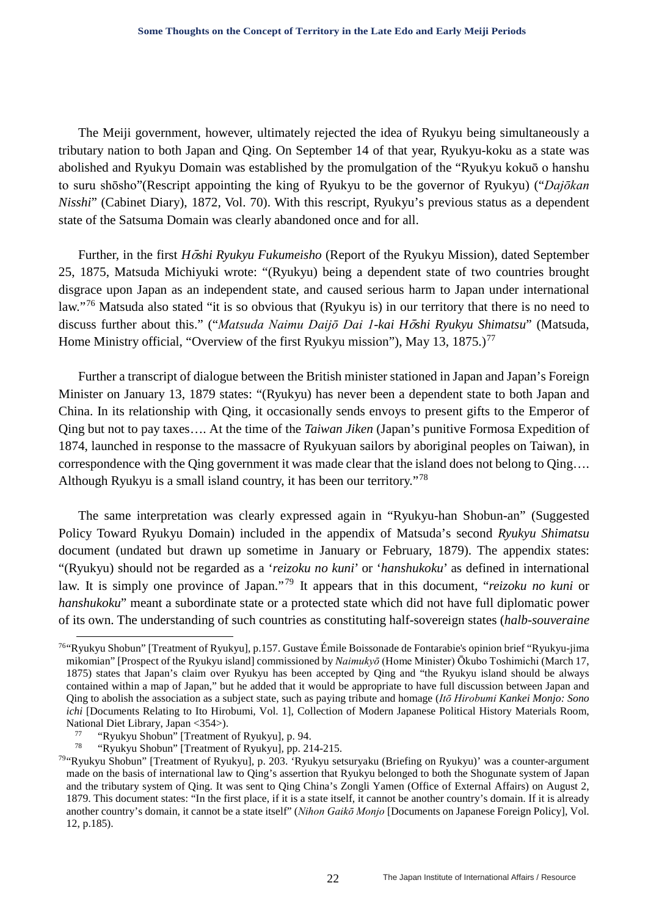The Meiji government, however, ultimately rejected the idea of Ryukyu being simultaneously a tributary nation to both Japan and Qing. On September 14 of that year, Ryukyu-koku as a state was abolished and Ryukyu Domain was established by the promulgation of the "Ryukyu kokuō o hanshu to suru shōsho"(Rescript appointing the king of Ryukyu to be the governor of Ryukyu) ("*Dajōkan Nisshi*" (Cabinet Diary), 1872, Vol. 70). With this rescript, Ryukyu's previous status as a dependent state of the Satsuma Domain was clearly abandoned once and for all.

Further, in the first *H*ō*shi Ryukyu Fukumeisho* (Report of the Ryukyu Mission), dated September 25, 1875, Matsuda Michiyuki wrote: "(Ryukyu) being a dependent state of two countries brought disgrace upon Japan as an independent state, and caused serious harm to Japan under international law."[76](#page-21-0) Matsuda also stated "it is so obvious that (Ryukyu is) in our territory that there is no need to discuss further about this." ("*Matsuda Naimu Daijō Dai 1-kai H*ō*shi Ryukyu Shimatsu*" (Matsuda, Home Ministry official, "Overview of the first Ryukyu mission"), May 13, 1875.)<sup>[77](#page-21-1)</sup>

Further a transcript of dialogue between the British minister stationed in Japan and Japan's Foreign Minister on January 13, 1879 states: "(Ryukyu) has never been a dependent state to both Japan and China. In its relationship with Qing, it occasionally sends envoys to present gifts to the Emperor of Qing but not to pay taxes…. At the time of the *Taiwan Jiken* (Japan's punitive Formosa Expedition of 1874, launched in response to the massacre of Ryukyuan sailors by aboriginal peoples on Taiwan), in correspondence with the Qing government it was made clear that the island does not belong to Qing…. Although Ryukyu is a small island country, it has been our territory."[78](#page-21-2)

The same interpretation was clearly expressed again in "Ryukyu-han Shobun-an" (Suggested Policy Toward Ryukyu Domain) included in the appendix of Matsuda's second *Ryukyu Shimatsu*  document (undated but drawn up sometime in January or February, 1879). The appendix states: "(Ryukyu) should not be regarded as a '*reizoku no kuni*' or '*hanshukoku*' as defined in international law. It is simply one province of Japan."<sup>[79](#page-21-3)</sup> It appears that in this document, "*reizoku no kuni* or *hanshukoku*" meant a subordinate state or a protected state which did not have full diplomatic power of its own. The understanding of such countries as constituting half-sovereign states (*halb-souveraine* 

<span id="page-21-0"></span> <sup>76&</sup>quot;Ryukyu Shobun" [Treatment of Ryukyu]*,* p.157. Gustave Émile Boissonade de Fontarabie's opinion brief "Ryukyu-jima mikomian" [Prospect of the Ryukyu island] commissioned by *Naimukyō* (Home Minister) Ōkubo Toshimichi (March 17, 1875) states that Japan's claim over Ryukyu has been accepted by Qing and "the Ryukyu island should be always contained within a map of Japan," but he added that it would be appropriate to have full discussion between Japan and Qing to abolish the association as a subject state, such as paying tribute and homage (*Itō Hirobumi Kankei Monjo: Sono ichi* [Documents Relating to Ito Hirobumi, Vol. 1], Collection of Modern Japanese Political History Materials Room, National Diet Library, Japan <354>).<br><sup>77</sup> "Ryukyu Shobun" [Treatment of Ryukyu], p. 94.<br><sup>78</sup> "Pyukyu Shobun" [Treatment of Byukyu], p. 21

<sup>78</sup> "Ryukyu Shobun" [Treatment of Ryukyu]*,* pp. 214-215.

<span id="page-21-3"></span><span id="page-21-2"></span><span id="page-21-1"></span><sup>79&</sup>quot;Ryukyu Shobun" [Treatment of Ryukyu]*,* p. 203. 'Ryukyu setsuryaku (Briefing on Ryukyu)' was a counter-argument made on the basis of international law to Qing's assertion that Ryukyu belonged to both the Shogunate system of Japan and the tributary system of Qing. It was sent to Qing China's Zongli Yamen (Office of External Affairs) on August 2, 1879. This document states: "In the first place, if it is a state itself, it cannot be another country's domain. If it is already another country's domain, it cannot be a state itself" (*Nihon Gaikō Monjo* [Documents on Japanese Foreign Policy], Vol. 12, p.185).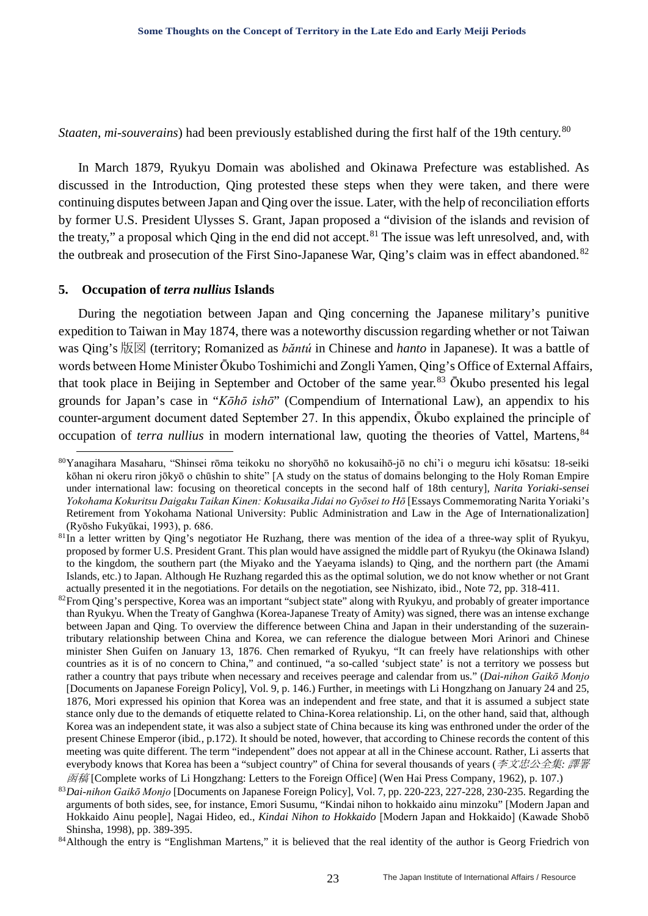*Staaten, mi-souverains*) had been previously established during the first half of the 19th century.<sup>[80](#page-22-0)</sup>

In March 1879, Ryukyu Domain was abolished and Okinawa Prefecture was established. As discussed in the Introduction, Qing protested these steps when they were taken, and there were continuing disputes between Japan and Qing over the issue. Later, with the help of reconciliation efforts by former U.S. President Ulysses S. Grant, Japan proposed a "division of the islands and revision of the treaty," a proposal which Oing in the end did not accept.<sup>[81](#page-22-1)</sup> The issue was left unresolved, and, with the outbreak and prosecution of the First Sino-Japanese War, Qing's claim was in effect abandoned.<sup>[82](#page-22-2)</sup>

#### **5. Occupation of** *terra nullius* **Islands**

During the negotiation between Japan and Qing concerning the Japanese military's punitive expedition to Taiwan in May 1874, there was a noteworthy discussion regarding whether or not Taiwan was Qing's 版図 (territory; Romanized as *băntú* in Chinese and *hanto* in Japanese). It was a battle of words between Home Minister Ōkubo Toshimichi and Zongli Yamen, Qing's Office of External Affairs, that took place in Beijing in September and October of the same year.<sup>[83](#page-22-3)</sup> Ōkubo presented his legal grounds for Japan's case in "*Kōhō ishō*" (Compendium of International Law), an appendix to his counter-argument document dated September 27. In this appendix, Ōkubo explained the principle of occupation of *terra nullius* in modern international law, quoting the theories of Vattel, Martens, <sup>[84](#page-22-4)</sup>

<span id="page-22-0"></span> <sup>80</sup>Yanagihara Masaharu, "Shinsei rōma teikoku no shoryōhō no kokusaihō-jō no chi'i o meguru ichi kōsatsu: 18-seiki kōhan ni okeru riron jōkyō o chūshin to shite" [A study on the status of domains belonging to the Holy Roman Empire under international law: focusing on theoretical concepts in the second half of 18th century], *Narita Yoriaki-sensei Yokohama Kokuritsu Daigaku Taikan Kinen: Kokusaika Jidai no Gyōsei to Hō* [Essays Commemorating Narita Yoriaki's Retirement from Yokohama National University: Public Administration and Law in the Age of Internationalization] (Ryōsho Fukyūkai, 1993), p. 686.

<span id="page-22-1"></span> $81$ In a letter written by Qing's negotiator He Ruzhang, there was mention of the idea of a three-way split of Ryukyu, proposed by former U.S. President Grant. This plan would have assigned the middle part of Ryukyu (the Okinawa Island) to the kingdom, the southern part (the Miyako and the Yaeyama islands) to Qing, and the northern part (the Amami Islands, etc.) to Japan. Although He Ruzhang regarded this as the optimal solution, we do not know whether or not Grant actually presented it in the negotiations. For details on the negotiation, see Nishizato, ibid., Note 72, pp. 318-411.

<span id="page-22-2"></span> $82$ From Qing's perspective, Korea was an important "subject state" along with Ryukyu, and probably of greater importance than Ryukyu. When the Treaty of Ganghwa (Korea-Japanese Treaty of Amity) was signed, there was an intense exchange between Japan and Qing. To overview the difference between China and Japan in their understanding of the suzeraintributary relationship between China and Korea, we can reference the dialogue between Mori Arinori and Chinese minister Shen Guifen on January 13, 1876. Chen remarked of Ryukyu, "It can freely have relationships with other countries as it is of no concern to China," and continued, "a so-called 'subject state' is not a territory we possess but rather a country that pays tribute when necessary and receives peerage and calendar from us." (*Dai-nihon Gaikō Monjo* [Documents on Japanese Foreign Policy], Vol. 9, p. 146.) Further, in meetings with Li Hongzhang on January 24 and 25, 1876, Mori expressed his opinion that Korea was an independent and free state, and that it is assumed a subject state stance only due to the demands of etiquette related to China-Korea relationship. Li, on the other hand, said that, although Korea was an independent state, it was also a subject state of China because its king was enthroned under the order of the present Chinese Emperor (ibid*.*, p.172). It should be noted, however, that according to Chinese records the content of this meeting was quite different. The term "independent" does not appear at all in the Chinese account. Rather, Li asserts that everybody knows that Korea has been a "subject country" of China for several thousands of years (李文忠公全集*:* 譯署  $\overline{\mathcal{B}}$ 稿 [Complete works of Li Hongzhang: Letters to the Foreign Office] (Wen Hai Press Company, 1962), p. 107.)

<span id="page-22-3"></span><sup>83</sup>*Dai-nihon Gaikō Monjo* [Documents on Japanese Foreign Policy], Vol. 7, pp. 220-223, 227-228, 230-235. Regarding the arguments of both sides, see, for instance, Emori Susumu, "Kindai nihon to hokkaido ainu minzoku" [Modern Japan and Hokkaido Ainu people], Nagai Hideo, ed., *Kindai Nihon to Hokkaido* [Modern Japan and Hokkaido] (Kawade Shobō Shinsha, 1998), pp. 389-395.

<span id="page-22-4"></span><sup>84</sup> Although the entry is "Englishman Martens," it is believed that the real identity of the author is Georg Friedrich von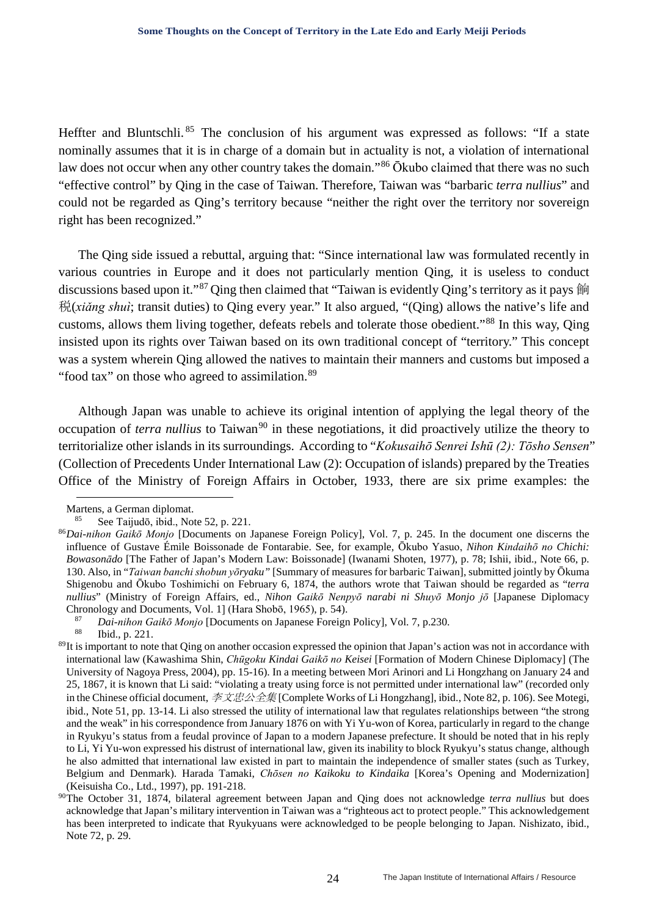Heffter and Bluntschli.<sup>[85](#page-23-0)</sup> The conclusion of his argument was expressed as follows: "If a state nominally assumes that it is in charge of a domain but in actuality is not, a violation of international law does not occur when any other country takes the domain."[86](#page-23-1) Ōkubo claimed that there was no such "effective control" by Qing in the case of Taiwan. Therefore, Taiwan was "barbaric *terra nullius*" and could not be regarded as Qing's territory because "neither the right over the territory nor sovereign right has been recognized."

The Qing side issued a rebuttal, arguing that: "Since international law was formulated recently in various countries in Europe and it does not particularly mention Qing, it is useless to conduct discussions based upon it."<sup>[87](#page-23-2)</sup> Qing then claimed that "Taiwan is evidently Qing's territory as it pays 餉 税(*xiǎng shuì*; transit duties) to Qing every year." It also argued, "(Qing) allows the native's life and customs, allows them living together, defeats rebels and tolerate those obedient."[88](#page-23-3) In this way, Qing insisted upon its rights over Taiwan based on its own traditional concept of "territory." This concept was a system wherein Qing allowed the natives to maintain their manners and customs but imposed a "food tax" on those who agreed to assimilation.<sup>[89](#page-23-4)</sup>

Although Japan was unable to achieve its original intention of applying the legal theory of the occupation of *terra nullius* to Taiwan<sup>[90](#page-23-5)</sup> in these negotiations, it did proactively utilize the theory to territorialize other islands in its surroundings. According to "*Kokusaihō Senrei Ishū (2): Tōsho Sensen*" (Collection of Precedents Under International Law (2): Occupation of islands) prepared by the Treaties Office of the Ministry of Foreign Affairs in October, 1933, there are six prime examples: the

-

<sup>87</sup> *Dai-nihon Gaikō Monjo* [Documents on Japanese Foreign Policy], Vol. 7, p.230. Ibid., p. 221.

Martens, a German diplomat.

See Taijudō, ibid., Note 52, p. 221.

<span id="page-23-1"></span><span id="page-23-0"></span><sup>86</sup>*Dai-nihon Gaikō Monjo* [Documents on Japanese Foreign Policy], Vol. 7, p. 245. In the document one discerns the influence of Gustave Émile Boissonade de Fontarabie. See, for example, Ōkubo Yasuo, *Nihon Kindaihō no Chichi: Bowasonādo* [The Father of Japan's Modern Law: Boissonade] (Iwanami Shoten, 1977), p. 78; Ishii, ibid., Note 66, p. 130. Also, in "*Taiwan banchi shobun yōryaku"* [Summary of measures for barbaric Taiwan], submitted jointly by Ōkuma Shigenobu and Ōkubo Toshimichi on February 6, 1874, the authors wrote that Taiwan should be regarded as "*terra nullius*" (Ministry of Foreign Affairs, ed., *Nihon Gaikō Nenpyō narabi ni Shuyō Monjo jō* [Japanese Diplomacy Chronology and Documents, Vol. 1] (Hara Shobō, 1965), p. 54).

<span id="page-23-4"></span><span id="page-23-3"></span><span id="page-23-2"></span> $89$ It is important to note that Qing on another occasion expressed the opinion that Japan's action was not in accordance with international law (Kawashima Shin, *Chūgoku Kindai Gaikō no Keisei* [Formation of Modern Chinese Diplomacy] (The University of Nagoya Press, 2004), pp. 15-16). In a meeting between Mori Arinori and Li Hongzhang on January 24 and 25, 1867, it is known that Li said: "violating a treaty using force is not permitted under international law" (recorded only in the Chinese official document,  $\overline{\mathcal{F}}\mathcal{R}\mathcal{B}\mathcal{A}\mathcal{A}\mathcal{B}$  [Complete Works of Li Hongzhang], ibid., Note 82, p. 106). See Motegi, ibid., Note 51, pp. 13-14. Li also stressed the utility of international law that regulates relationships between "the strong and the weak" in his correspondence from January 1876 on with Yi Yu-won of Korea, particularly in regard to the change in Ryukyu's status from a feudal province of Japan to a modern Japanese prefecture. It should be noted that in his reply to Li, Yi Yu-won expressed his distrust of international law, given its inability to block Ryukyu's status change, although he also admitted that international law existed in part to maintain the independence of smaller states (such as Turkey, Belgium and Denmark). Harada Tamaki, *Chōsen no Kaikoku to Kindaika* [Korea's Opening and Modernization] (Keisuisha Co., Ltd., 1997), pp. 191-218.

<span id="page-23-5"></span><sup>90</sup>The October 31, 1874, bilateral agreement between Japan and Qing does not acknowledge *terra nullius* but does acknowledge that Japan's military intervention in Taiwan was a "righteous act to protect people." This acknowledgement has been interpreted to indicate that Ryukyuans were acknowledged to be people belonging to Japan. Nishizato, ibid., Note 72, p. 29.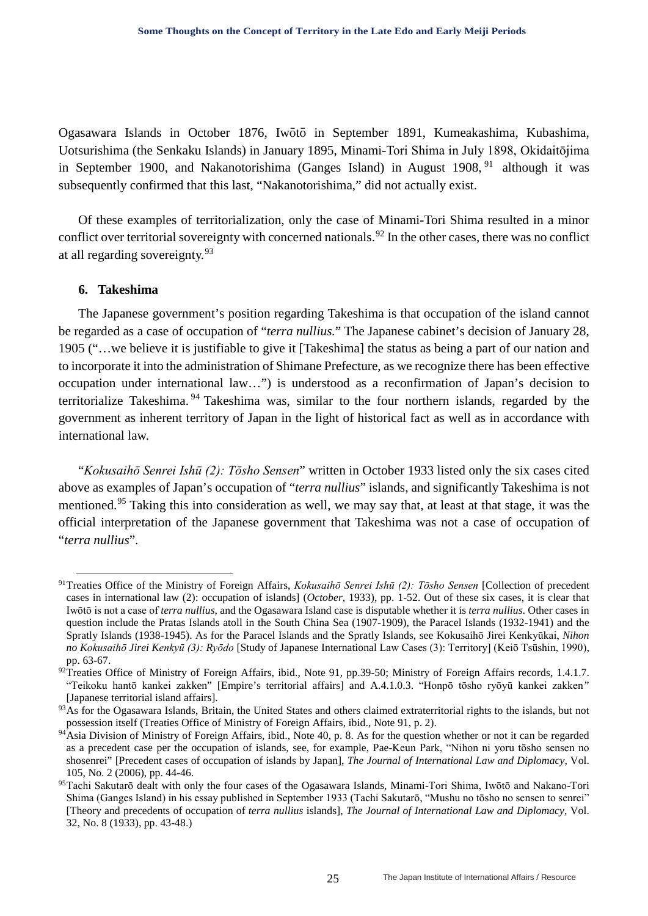Ogasawara Islands in October 1876, Iwōtō in September 1891, Kumeakashima, Kubashima, Uotsurishima (the Senkaku Islands) in January 1895, Minami-Tori Shima in July 1898, Okidaitōjima in September 1900, and Nakanotorishima (Ganges Island) in August 1908, <sup>[91](#page-24-0)</sup> although it was subsequently confirmed that this last, "Nakanotorishima," did not actually exist.

Of these examples of territorialization, only the case of Minami-Tori Shima resulted in a minor conflict over territorial sovereignty with concerned nationals.<sup>[92](#page-24-1)</sup> In the other cases, there was no conflict at all regarding sovereignty.<sup>[93](#page-24-2)</sup>

## **6. Takeshima**

The Japanese government's position regarding Takeshima is that occupation of the island cannot be regarded as a case of occupation of "*terra nullius.*" The Japanese cabinet's decision of January 28, 1905 ("…we believe it is justifiable to give it [Takeshima] the status as being a part of our nation and to incorporate it into the administration of Shimane Prefecture, as we recognize there has been effective occupation under international law…") is understood as a reconfirmation of Japan's decision to territorialize Takeshima. [94](#page-24-3) Takeshima was, similar to the four northern islands, regarded by the government as inherent territory of Japan in the light of historical fact as well as in accordance with international law.

"*Kokusaihō Senrei Ishū (2): Tōsho Sensen*" written in October 1933 listed only the six cases cited above as examples of Japan's occupation of "*terra nullius*" islands, and significantly Takeshima is not mentioned.<sup>[95](#page-24-4)</sup> Taking this into consideration as well, we may say that, at least at that stage, it was the official interpretation of the Japanese government that Takeshima was not a case of occupation of "*terra nullius*".

<span id="page-24-0"></span> <sup>91</sup>Treaties Office of the Ministry of Foreign Affairs, *Kokusaihō Senrei Ishū (2): Tōsho Sensen* [Collection of precedent cases in international law (2): occupation of islands] (*October,* 1933), pp. 1-52. Out of these six cases, it is clear that Iwōtō is not a case of *terra nullius*, and the Ogasawara Island case is disputable whether it is *terra nullius*. Other cases in question include the Pratas Islands atoll in the South China Sea (1907-1909), the Paracel Islands (1932-1941) and the Spratly Islands (1938-1945). As for the Paracel Islands and the Spratly Islands, see Kokusaihō Jirei Kenkyūkai, *Nihon no Kokusaihō Jirei Kenkyū (3): Ryōdo* [Study of Japanese International Law Cases (3): Territory] (Keiō Tsūshin, 1990), pp. 63-67.

<span id="page-24-1"></span><sup>92</sup>Treaties Office of Ministry of Foreign Affairs, ibid., Note 91, pp.39-50; Ministry of Foreign Affairs records, 1.4.1.7. "Teikoku hantō kankei zakken" [Empire's territorial affairs] and A.4.1.0.3. "Honpō tōsho ryōyū kankei zakken*"* [Japanese territorial island affairs].

<span id="page-24-2"></span><sup>&</sup>lt;sup>93</sup>As for the Ogasawara Islands, Britain, the United States and others claimed extraterritorial rights to the islands, but not possession itself (Treaties Office of Ministry of Foreign Affairs, ibid., Note 91, p. 2).

<span id="page-24-3"></span><sup>&</sup>lt;sup>94</sup>Asia Division of Ministry of Foreign Affairs, ibid., Note 40, p. 8. As for the question whether or not it can be regarded as a precedent case per the occupation of islands, see, for example, Pae-Keun Park, "Nihon ni yoru tōsho sensen no shosenrei" [Precedent cases of occupation of islands by Japan], *The Journal of International Law and Diplomacy,* Vol.

<span id="page-24-4"></span><sup>105,</sup> No. 2 (2006), pp. 44-46. 95Tachi Sakutarō dealt with only the four cases of the Ogasawara Islands, Minami-Tori Shima, Iwōtō and Nakano-Tori Shima (Ganges Island) in his essay published in September 1933 (Tachi Sakutarō, "Mushu no tōsho no sensen to senrei" [Theory and precedents of occupation of *terra nullius* islands], *The Journal of International Law and Diplomacy,* Vol. 32, No. 8 (1933), pp. 43-48.)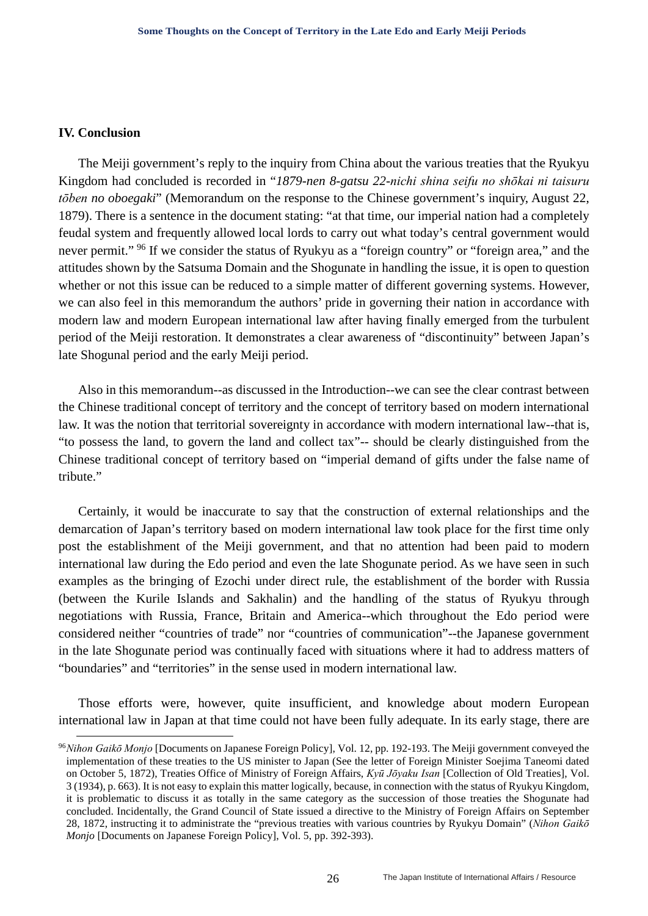#### **IV. Conclusion**

The Meiji government's reply to the inquiry from China about the various treaties that the Ryukyu Kingdom had concluded is recorded in "*1879-nen 8-gatsu 22-nichi shina seifu no shōkai ni taisuru tōben no oboegaki*" (Memorandum on the response to the Chinese government's inquiry, August 22, 1879). There is a sentence in the document stating: "at that time, our imperial nation had a completely feudal system and frequently allowed local lords to carry out what today's central government would never permit." <sup>[96](#page-25-0)</sup> If we consider the status of Ryukyu as a "foreign country" or "foreign area," and the attitudes shown by the Satsuma Domain and the Shogunate in handling the issue, it is open to question whether or not this issue can be reduced to a simple matter of different governing systems. However, we can also feel in this memorandum the authors' pride in governing their nation in accordance with modern law and modern European international law after having finally emerged from the turbulent period of the Meiji restoration. It demonstrates a clear awareness of "discontinuity" between Japan's late Shogunal period and the early Meiji period.

Also in this memorandum--as discussed in the Introduction--we can see the clear contrast between the Chinese traditional concept of territory and the concept of territory based on modern international law. It was the notion that territorial sovereignty in accordance with modern international law--that is, "to possess the land, to govern the land and collect tax"-- should be clearly distinguished from the Chinese traditional concept of territory based on "imperial demand of gifts under the false name of tribute."

Certainly, it would be inaccurate to say that the construction of external relationships and the demarcation of Japan's territory based on modern international law took place for the first time only post the establishment of the Meiji government, and that no attention had been paid to modern international law during the Edo period and even the late Shogunate period. As we have seen in such examples as the bringing of Ezochi under direct rule, the establishment of the border with Russia (between the Kurile Islands and Sakhalin) and the handling of the status of Ryukyu through negotiations with Russia, France, Britain and America--which throughout the Edo period were considered neither "countries of trade" nor "countries of communication"--the Japanese government in the late Shogunate period was continually faced with situations where it had to address matters of "boundaries" and "territories" in the sense used in modern international law.

Those efforts were, however, quite insufficient, and knowledge about modern European international law in Japan at that time could not have been fully adequate. In its early stage, there are

<span id="page-25-0"></span> <sup>96</sup>*Nihon Gaikō Monjo* [Documents on Japanese Foreign Policy], Vol. 12, pp. 192-193. The Meiji government conveyed the implementation of these treaties to the US minister to Japan (See the letter of Foreign Minister Soejima Taneomi dated on October 5, 1872), Treaties Office of Ministry of Foreign Affairs, *Kyū Jōyaku Isan* [Collection of Old Treaties], Vol. 3 (1934), p. 663). It is not easy to explain this matter logically, because, in connection with the status of Ryukyu Kingdom, it is problematic to discuss it as totally in the same category as the succession of those treaties the Shogunate had concluded. Incidentally, the Grand Council of State issued a directive to the Ministry of Foreign Affairs on September 28, 1872, instructing it to administrate the "previous treaties with various countries by Ryukyu Domain" (*Nihon Gaikō Monjo* [Documents on Japanese Foreign Policy], Vol. 5, pp. 392-393).